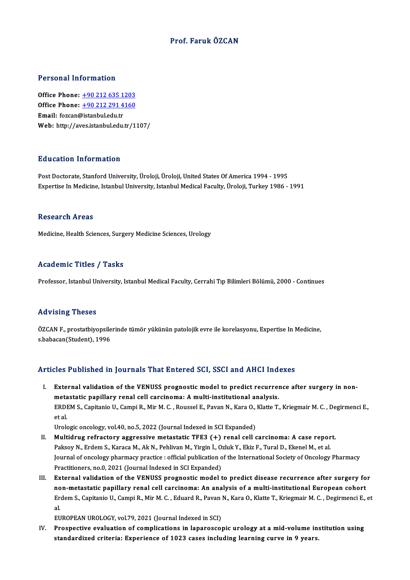#### Prof. Faruk ÖZCAN

#### Personal Information

Office Phone: +90 212 635 1203 office Phone: <u>+90 212 635 1203</u><br>Office Phone: <u>+90 212 291 4160</u><br>Email: forcan@istanbul.edu.tr Office Phone: <u>+90 212 635 1</u><br>Office Phone: <u>+90 212 291 4</u><br>Email: fozcan[@istanbul.edu.tr](tel:+90 212 291 4160) Email: fozcan@istanbul.edu.tr<br>Web: http://aves.istanbul.edu.tr/1107/

#### Education Information

Post Doctorate, Stanford University, Üroloji, Üroloji, United States Of America 1994 - 1995 Expertise In Medicine, Istanbul University, Istanbul Medical Faculty, Üroloji, Turkey 1986 - 1991

#### Research Areas

Medicine, Health Sciences, Surgery Medicine Sciences, Urology

#### Academic Titles / Tasks

Professor, Istanbul University, Istanbul Medical Faculty, Cerrahi Tıp Bilimleri Bölümü, 2000 - Continues

#### Advising Theses

Advising Theses<br>ÖZCAN F., prostatbiyopsilerinde tümör yükünün patolojik evre ile korelasyonu, Expertise In Medicine,<br>s habasan(Student), 1996 s.<br>2008 - Babacan (Student), 1996<br>S.babacan (Student), 1996

## Articles Published in Journals That Entered SCI, SSCI and AHCI Indexes

rticles Published in Journals That Entered SCI, SSCI and AHCI Indexes<br>I. External validation of the VENUSS prognostic model to predict recurrence after surgery in non-<br>metastatic papillary renal cell carsinema: A multi ins metastatic papillary renal cell carcinoma: A multi-institutional analysis.<br>External validation of the VENUSS prognostic model to predict recurrent<br>ERDEM S. Conitorio II. Compi B. Min M. C., Boussel E. Bouen N. Vors O. Vlat External validation of the VENUSS prognostic model to predict recurrence after surgery in non-<br>metastatic papillary renal cell carcinoma: A multi-institutional analysis.<br>ERDEM S., Capitanio U., Campi R., Mir M. C. , Rousse metastatic papillary renal cell carcinoma: A multi-institutional analysis.<br>ERDEM S., Capitanio U., Campi R., Mir M. C., Roussel E., Pavan N., Kara O., Klatte T.<br>et al.<br>Urologic oncology, vol.40, no.5, 2022 (Journal Indexed ERDEM S., Capitanio U., Campi R., Mir M. C., Roussel E., Pavan N., Kara O., Klatte T., Kriegmair M. C., Degirmenci E.,

- II. Multidrug refractory aggressive metastatic TFE3  $(+)$  renal cell carcinoma: A case report. Urologic oncology, vol.40, no.5, 2022 (Journal Indexed in SCI Expanded)<br>Multidrug refractory aggressive metastatic TFE3 (+) renal cell carcinoma: A case repor<br>Paksoy N., Erdem S., Karaca M., Ak N., Pehlivan M., Yirgin İ., Journal of oncology pharmacy practice : official publication of the International Society of Oncology Pharmacy<br>Practitioners, no.0, 2021 (Journal Indexed in SCI Expanded) Paksoy N., Erdem S., Karaca M., Ak N., Pehlivan M., Yirgin İ., O:<br>Journal of oncology pharmacy practice : official publication o<br>Practitioners, no.0, 2021 (Journal Indexed in SCI Expanded)<br>External validation of the VENUSS I I. It I. External of oncology pharmacy practice : official publication of the International Society of Oncology Pharmacy<br>Practitioners, no.0, 2021 (Journal Indexed in SCI Expanded)<br>III. External validation of the VENUSS
- Practitioners, no.0, 2021 (Journal Indexed in SCI Expanded)<br>External validation of the VENUSS prognostic model to predict disease recurrence after surgery fo<br>non-metastatic papillary renal cell carcinoma: An analysis of a External validation of the VENUSS prognostic model to predict disease recurrence after surgery for<br>non-metastatic papillary renal cell carcinoma: An analysis of a multi-institutional European cohort<br>Erdem S., Capitanio U., no<br>Er<br>eu Erdem S., Capitanio U., Campi R., Mir M. C. , Eduard R., Pavan N., Kara O., Klatte T., Kriegmair M. C. , Degirmenci E., et<br>al.<br>EUROPEAN UROLOGY, vol.79, 2021 (Journal Indexed in SCI)

IV. Prospective evaluation of complications in laparoscopic urology at amid-volume institution using standardized criteria: Experience of 1023 cases including learning curve in 9 years.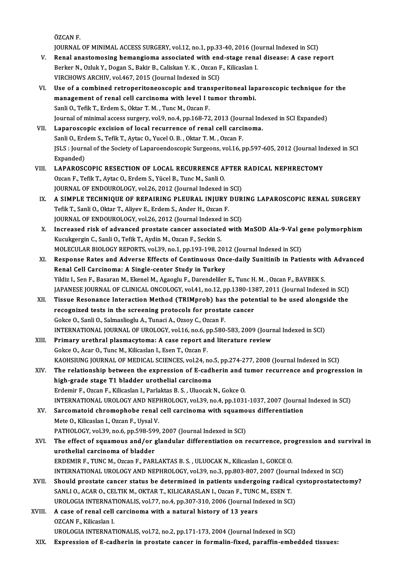ÖZCANF.

JOURNAL OF MINIMAL ACCESS SURGERY, vol.12, no.1, pp.33-40, 2016 (Journal Indexed in SCI)

- ÖZCAN F.<br>JOURNAL OF MINIMAL ACCESS SURGERY, vol.12, no.1, pp.33-40, 2016 (Journal Indexed in SCI)<br>V. Renal anastomosing hemangioma associated with end-stage renal disease: A case report<br>Perken N. Orlyk V. Degan S. Bekin B. JOURNAL OF MINIMAL ACCESS SURGERY, vol.12, no.1, pp.33-40, 2016 (Jo<br>Renal anastomosing hemangioma associated with end-stage rena<br>Berker N., Ozluk Y., Dogan S., Bakir B., Caliskan Y. K. , Ozcan F., Kilicaslan I.<br>VIRCHOWS AR Renal anastomosing hemangioma associated with energient and the Serker N., Ozluk Y., Dogan S., Bakir B., Caliskan Y. K. , Ozcan F<br>VIRCHOWS ARCHIV, vol.467, 2015 (Journal Indexed in SCI)<br>Use of a sombined retronoritaneossen Berker N., Ozluk Y., Dogan S., Bakir B., Caliskan Y. K. , Ozcan F., Kilicaslan I.<br>VIRCHOWS ARCHIV, vol.467, 2015 (Journal Indexed in SCI)<br>VI. Use of a combined retroperitoneoscopic and transperitoneal laparoscopic techniqu
- VIRCHOWS ARCHIV, vol.467, 2015 (Journal Indexed in SCI)<br>Use of a combined retroperitoneoscopic and transperitoneal lap<br>management of renal cell carcinoma with level I tumor thrombi.<br>Sanli O. Tofik T. Erdem S. Oktor T. M. T Use of a combined retroperitoneoscopic and tran<br>management of renal cell carcinoma with level I t<br>Sanli O., Tefik T., Erdem S., Oktar T. M. , Tunc M., Ozcan F.<br>Journal of minimal assess sursory, yol 9, no 4, np 169, 72 Sanli O., Tefik T., Erdem S., Oktar T. M. , Tunc M., Ozcan F.<br>Journal of minimal access surgery, vol.9, no.4, pp.168-72, 2013 (Journal Indexed in SCI Expanded)
- VII. Laparoscopic excision of local recurrence of renal cell carcinoma. Journal of minimal access surgery, vol.9, no.4, pp.168-72, 2013 (Journal cell carcinology of local recurrence of renal cell carcinol.<br>Sanli O., Erdem S., Tefik T., Aytac O., Yucel O. B. , Oktar T. M. , Ozcan F.<br>ISLS : Jour JSLS : Journal of the Society of Laparoendoscopic Surgeons, vol.16, pp.597-605, 2012 (Journal Indexed in SCI<br>Expanded) Sanli O., Erd<br>JSLS : Journ<br>Expanded)<br>LABABOSC JSLS : Journal of the Society of Laparoendoscopic Surgeons, vol.16, pp.597-605, 2012 (Journal Inc.<br>Expanded)<br>VIII. LAPAROSCOPIC RESECTION OF LOCAL RECURRENCE AFTER RADICAL NEPHRECTOMY
- OzcanF.,TefikT.,AytacO.,ErdemS.,YücelB.,TuncM.,SanliO. LAPAROSCOPIC RESECTION OF LOCAL RECURRENCE AFTER<br>Ozcan F., Tefik T., Aytac O., Erdem S., Yücel B., Tunc M., Sanli O.<br>JOURNAL OF ENDOUROLOGY, vol.26, 2012 (Journal Indexed in SCI)<br>A SIMPLE TECHNIQUE OF RERAIRING BLEURAL INU Ozcan F., Tefik T., Aytac O., Erdem S., Yücel B., Tunc M., Sanli O.<br>JOURNAL OF ENDOUROLOGY, vol.26, 2012 (Journal Indexed in SCI)<br>IX. A SIMPLE TECHNIQUE OF REPAIRING PLEURAL INJURY DURING LAPAROSCOPIC RENAL SURGERY
- JOURNAL OF ENDOUROLOGY, vol.26, 2012 (Journal Indexed in SCI)<br>A SIMPLE TECHNIQUE OF REPAIRING PLEURAL INJURY DUR<br>Tefik T., Sanli O., Oktar T., Aliyev E., Erdem S., Ander H., Ozcan F.<br>JOURNAL OF ENDOUROLOGY, vol.26, 2012 (J A SIMPLE TECHNIQUE OF REPAIRING PLEURAL INJURY DUR<br>Tefik T., Sanli O., Oktar T., Aliyev E., Erdem S., Ander H., Ozcan F.<br>JOURNAL OF ENDOUROLOGY, vol.26, 2012 (Journal Indexed in SCI)<br>Increased risk of advanced prestate sen Tefik T., Sanli O., Oktar T., Aliyev E., Erdem S., Ander H., Ozcan F.<br>JOURNAL OF ENDOUROLOGY, vol.26, 2012 (Journal Indexed in SCI)<br>X. Increased risk of advanced prostate cancer associated with MnSOD Ala-9-Val gene polymor
- JOURNAL OF ENDOUROLOGY, vol.26, 2012 (Journal Indexed<br>Increased risk of advanced prostate cancer associate<br>Kucukgergin C., Sanli O., Tefik T., Aydin M., Ozcan F., Seckin S.<br>MOLECULAR RIOLOGY RERORTS, vol.29, no.1, nn.192,1 Increased risk of advanced prostate cancer associated with MnSOD Ala-9-Val g<br>Kucukgergin C., Sanli O., Tefik T., Aydin M., Ozcan F., Seckin S.<br>MOLECULAR BIOLOGY REPORTS, vol.39, no.1, pp.193-198, 2012 (Journal Indexed in S Kucukgergin C., Sanli O., Tefik T., Aydin M., Ozcan F., Seckin S.<br>MOLECULAR BIOLOGY REPORTS, vol.39, no.1, pp.193-198, 2012 (Journal Indexed in SCI)<br>XI. Response Rates and Adverse Effects of Continuous Once-daily Sunitinib
- MOLECULAR BIOLOGY REPORTS, vol.39, no.1, pp.193-198, 201<br>Response Rates and Adverse Effects of Continuous One<br>Renal Cell Carcinoma: A Single-center Study in Turkey<br>Vidir L. Son E. Bassran M. Ekonol M. Agasglu E. Darondalil Response Rates and Adverse Effects of Continuous Once-daily Sunitinib in Patients wit<br>Renal Cell Carcinoma: A Single-center Study in Turkey<br>Yildiz I., Sen F., Basaran M., Ekenel M., Agaoglu F., Darendeliler E., Tunc H. M. Renal Cell Carcinoma: A Single-center Study in Turkey<br>Yildiz I., Sen F., Basaran M., Ekenel M., Agaoglu F., Darendeliler E., Tunc H. M. , Ozcan F., BAVBEK S.<br>JAPANESE JOURNAL OF CLINICAL ONCOLOGY, vol.41, no.12, pp.1380-13 Yildiz I., Sen F., Basaran M., Ekenel M., Agaoglu F., Darendeliler E., Tunc H. M. , Ozcan F., BAVBEK S.<br>JAPANESE JOURNAL OF CLINICAL ONCOLOGY, vol.41, no.12, pp.1380-1387, 2011 (Journal Indexed in SCI)<br>XII. Tissue Resonanc
- JAPANESE JOURNAL OF CLINICAL ONCOLOGY, vol.41, no.12, pp.1380-1387, 2011 (Journal Indexed in SCI)<br>XII. Tissue Resonance Interaction Method (TRIMprob) has the potential to be used alongside the<br>recognized tests in the scree Gokce O., Sanli O., Salmaslioglu A., Tunaci A., Ozsoy C., Ozcan F. recognized tests in the screening protocols for prostate cancer<br>Gokce O., Sanli O., Salmaslioglu A., Tunaci A., Ozsoy C., Ozcan F.<br>INTERNATIONAL JOURNAL OF UROLOGY, vol.16, no.6, pp.580-583, 2009 (Journal Indexed in SCI)<br>P Gokce O., Sanli O., Salmaslioglu A., Tunaci A., Ozsoy C., Ozcan F.<br>INTERNATIONAL JOURNAL OF UROLOGY, vol.16, no.6, pp.580-583, 2009 (Journ<br>XIII. Primary urethral plasmacytoma: A case report and literature review
- INTERNATIONAL JOURNAL OF UROLOGY, vol.16, no.6, p<br>Primary urethral plasmacytoma: A case report an<br>Gokce O., Acar O., Tunc M., Kilicaslan I., Esen T., Ozcan F.<br>KAOUSUING JOURNAL OF MEDICAL SCIENCES vol.24, n Primary urethral plasmacytoma: A case report and literature review<br>Gokce O., Acar O., Tunc M., Kilicaslan I., Esen T., Ozcan F.<br>KAOHSIUNG JOURNAL OF MEDICAL SCIENCES, vol.24, no.5, pp.274-277, 2008 (Journal Indexed in SCI) Gokce O., Acar O., Tunc M., Kilicaslan I., Esen T., Ozcan F.<br>KAOHSIUNG JOURNAL OF MEDICAL SCIENCES, vol.24, no.5, pp.274-277, 2008 (Journal Indexed in SCI)<br>XIV. The relationship between the expression of E-cadherin and tum
- KAOHSIUNG JOURNAL OF MEDICAL SCIENCES, vol.24, no<br>The relationship between the expression of E-cadl<br>high-grade stage T1 bladder urothelial carcinoma<br>Endemir E. Ozen E. Kiliseelan L. Berlaktes B. S. Uluseak The relationship between the expression of E-cadherin and t<br>high-grade stage T1 bladder urothelial carcinoma<br>Erdemir F., Ozcan F., Kilicaslan I., Parlaktas B. S. , Uluocak N., Gokce O.<br>INTERNATIONAL UPOLOGY AND NEPUPOLOGY high-grade stage T1 bladder urothelial carcinoma<br>Erdemir F., Ozcan F., Kilicaslan I., Parlaktas B. S. , Uluocak N., Gokce O.<br>INTERNATIONAL UROLOGY AND NEPHROLOGY, vol.39, no.4, pp.1031-1037, 2007 (Journal Indexed in SCI) Erdemir F., Ozcan F., Kilicaslan I., Parlaktas B. S. , Uluocak N., Gokce O.<br>INTERNATIONAL UROLOGY AND NEPHROLOGY, vol.39, no.4, pp.1031-1037, 2007 (Journa<br>XV. Sarcomatoid chromophobe renal cell carcinoma with squamous diff
- INTERNATIONAL UROLOGY AND NEP<br>Sarcomatoid chromophobe renal<br>Mete O., Kilicaslan I., Ozcan F., Uysal V.<br>PATHOLOGY .val 30, no 6, nn 508,500. Sarcomatoid chromophobe renal cell carcinoma with squamo<br>Mete O., Kilicaslan I., Ozcan F., Uysal V.<br>PATHOLOGY, vol.39, no.6, pp.598-599, 2007 (Journal Indexed in SCI)<br>The effect of squamous and (or glandular differentiatio
- Mete O., Kilicaslan I., Ozcan F., Uysal V.<br>PATHOLOGY, vol.39, no.6, pp.598-599, 2007 (Journal Indexed in SCI)<br>XVI. The effect of squamous and/or glandular differentiation on recurrence, progression and survival in<br>unot PATHOLOGY, vol.39, no.6, pp.598-59<br>The effect of squamous and/or g<br>urothelial carcinoma of bladder<br>EPDEMIP E. TINC M. OZSP E. BARI The effect of squamous and/or glandular differentiation on recurrence, pro<br>urothelial carcinoma of bladder<br>ERDEMIR F., TUNC M., Ozcan F., PARLAKTAS B. S. , ULUOCAK N., Kilicaslan I., GOKCE O.<br>INTERNATIONAL UROLOCY AND NERH urothelial carcinoma of bladder<br>ERDEMIR F., TUNC M., Ozcan F., PARLAKTAS B. S. , ULUOCAK N., Kilicaslan I., GOKCE O.<br>INTERNATIONAL UROLOGY AND NEPHROLOGY, vol.39, no.3, pp.803-807, 2007 (Journal Indexed in SCI)<br>Should pros ERDEMIR F., TUNC M., Ozcan F., PARLAKTAS B. S. , ULUOCAK N., Kilicaslan I., GOKCE O.<br>INTERNATIONAL UROLOGY AND NEPHROLOGY, vol.39, no.3, pp.803-807, 2007 (Journal Indexed in SCI)<br>XVII. Should prostate cancer status be dete
- INTERNATIONAL UROLOGY AND NEPHROLOGY, vol.39, no.3, pp.803-807, 2007 (Journal)<br>Should prostate cancer status be determined in patients undergoing radica<br>SANLI O., ACAR O., CELTIK M., OKTAR T., KILICARASLAN I., Ozcan F., TU Should prostate cancer status be determined in patients undergoing radical<br>SANLI 0., ACAR 0., CELTIK M., OKTAR T., KILICARASLAN I., Ozcan F., TUNC M., ESEN T.<br>UROLOGIA INTERNATIONALIS, vol.77, no.4, pp.307-310, 2006 (Journ SANLI O., ACAR O., CELTIK M., OKTAR T., KILICARASLAN I., Ozcan F., TUNC<br>UROLOGIA INTERNATIONALIS, vol.77, no.4, pp.307-310, 2006 (Journal In<br>XVIII. A case of renal cell carcinoma with a natural history of 13 years<br>QZCAN E.
- UROLOGIA INTERNAT<br>A case of renal cell<br>OZCAN F., Kilicaslan I.<br>UPOLOGIA INTERNAT XVIII. A case of renal cell carcinoma with a natural history of 13 years<br>OZCAN F., Kilicaslan I.<br>UROLOGIA INTERNATIONALIS, vol.72, no.2, pp.171-173, 2004 (Journal Indexed in SCI)
	- XIX. Expression of E-cadherin in prostate cancer in formalin-fixed, paraffin-embedded tissues: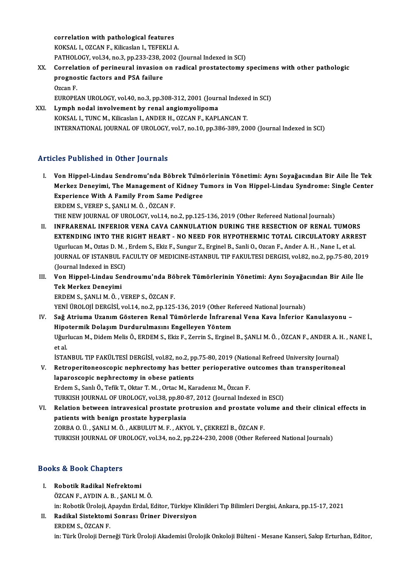correlation with pathological features KOKSAL I., OZCAN F., Kilicaslan I., TEFEKLI A. correlation with pathological features<br>KOKSAL I., OZCAN F., Kilicaslan I., TEFEKLI A.<br>PATHOLOGY, vol.34, no.3, pp.233-238, 2002 (Journal Indexed in SCI)<br>Correlation of nonineural invesion on radical prostatestomy KOKSAL I., OZCAN F., Kilicaslan I., TEFEKLI A.<br>PATHOLOGY, vol.34, no.3, pp.233-238, 2002 (Journal Indexed in SCI)<br>XX. Correlation of perineural invasion on radical prostatectomy specimens with other pathologic<br>nucespastic

- PATHOLOGY, vol.34, no.3, pp.233-238, 2<br>Correlation of perineural invasion<br>prognostic factors and PSA failure<br>Ozcar F Correl<mark>a</mark><br>progno:<br>Ozcan F.<br>FUROPE prognostic factors and PSA failure<br>Ozcan F.<br>EUROPEAN UROLOGY, vol.40, no.3, pp.308-312, 2001 (Journal Indexed in SCI)<br>Lymph nodal involvement by renal angiemyelinems Ozcan F.<br>EUROPEAN UROLOGY, vol.40, no.3, pp.308-312, 2001 (Journal Indexed<br>XXI. Lymph nodal involvement by renal angiomyolipoma<br>KOKSAL I., TUNC M., Kilicaslan I., ANDER H., OZCAN F., KAPLANCAN T.
- EUROPEAN UROLOGY, vol40, no.3, pp.308-312, 2001 (Journal Indexed<br>Lymph nodal involvement by renal angiomyolipoma<br>KOKSAL I., TUNC M., Kilicaslan I., ANDER H., OZCAN F., KAPLANCAN T.<br>INTERNATIONAL JOURNAL OF UROLOGY Vol 7 no INTERNATIONAL JOURNALOFUROLOGY,vol.7,no.10,pp.386-389,2000 (Journal Indexed inSCI)

#### Articles Published in Other Journals

- rticles Published in Other Journals<br>I. Von Hippel-Lindau Sendromu'nda Böbrek Tümörlerinin Yönetimi: Aynı Soyağacından Bir Aile İle Tek<br>Markar Denevimi, The Management of Vidney Tumors in Ven Hinpel Lindey Syndromey Single Merkez Deneyimi, The Management of Kidney Tumors in Von Hippel-Lindau Syndrome: Single Center<br>Experience With A Family From Same Pedigree Von Hippel-Lindau Sendromu'nda Böbrek Tümö<br>Merkez Deneyimi, The Management of Kidney T<br>Experience With A Family From Same Pedigree<br>EPDEM S, VERER S, SANLLMÖ, ÖZGAN E ERDEMS.,VEREPS.,ŞANLIM.Ö. ,ÖZCANF. THE NEW JOURNAL OF UROLOGY, vol.14, no.2, pp.125-136, 2019 (Other Refereed National Journals)
- ERDEM S., VEREP S., ŞANLI M. Ö., ÖZCAN F.<br>THE NEW JOURNAL OF UROLOGY, vol.14, no.2, pp.125-136, 2019 (Other Refereed National Journals)<br>II. INFRARENAL INFERIOR VENA CAVA CANNULATION DURING THE RESECTION OF RENAL TUMORS<br>EXT THE NEW JOURNAL OF UROLOGY, vol.14, no.2, pp.125-136, 2019 (Other Refereed National Journals)<br>INFRARENAL INFERIOR VENA CAVA CANNULATION DURING THE RESECTION OF RENAL TUMORS<br>EXTENDING INTO THE RIGHT HEART - NO NEED FOR HYPO EXTENDING INTO THE RIGHT HEART - NO NEED FOR HYPOTHERMIC TOTAL CIRCULATORY ARREST<br>Ugurlucan M., Oztas D. M. , Erdem S., Ekiz F., Sungur Z., Erginel B., Sanli O., Ozcan F., Ander A. H. , Nane I., et al. EXTENDING INTO THE RIGHT HEART - NO NEED FOR HYPOTHERMIC TOTAL CIRCULATORY ARREST<br>Ugurlucan M., Oztas D. M. , Erdem S., Ekiz F., Sungur Z., Erginel B., Sanli O., Ozcan F., Ander A. H. , Nane I., et al.<br>JOURNAL OF ISTANBUL Ugurlucan M., Oztas D. M. ,<br>JOURNAL OF ISTANBUL F.<br>(Journal Indexed in ESCI)<br>Von Hinnel Lindey, Sen I I. JOURNAL OF ISTANBUL FACULTY OF MEDICINE-ISTANBUL TIP FAKULTESI DERGISI, vol.82, no.2, pp.75-80, 201<br>(Journal Indexed in ESCI)<br>III. Von Hippel-Lindau Sendroumu'nda Böbrek Tümörlerinin Yönetimi: Aynı Soyağacından Bir Ai
- (Journal Indexed in ESCI)<br>III. Von Hippel-Lindau Sendroumu'nda Böbrek Tümörlerinin Yönetimi: Aynı Soyağacından Bir Aile İle<br>Tek Merkez Deneyimi ERDEMS.,ŞANLIM.Ö. ,VEREPS.,ÖZCANF. YENİ ÜROLOJİ DERGİSİ, vol.14, no.2, pp.125-136, 2019 (Other Refereed National Journals)
- IV. Sağ Atriuma UzanımGösteren Renal Tümörlerde İnfrarenal Vena Kava İnferior Kanulasyonu YENİ ÜROLOJİ DERGİSİ, vol.14, no.2, pp.125-136, 2019 (Other Re<br>Sağ Atriuma Uzanım Gösteren Renal Tümörlerde İnfrarer<br>Hipotermik Dolaşım Durdurulmasını Engelleyen Yöntem<br>Hävrkeen M. Didem Melis Ö. EPDEM S. Ekiz E. Zenrin S. Sağ Atriuma Uzanım Gösteren Renal Tümörlerde İnfrarenal Vena Kava İnferior Kanulasyonu –<br>Hipotermik Dolaşım Durdurulmasını Engelleyen Yöntem<br>Uğurlucan M., Didem Melis Ö., ERDEM S., Ekiz F., Zerrin S., Erginel B., ŞANLI M. Hi<mark>po</mark><br>Uğur<br>et al.<br>ismal Uğurlucan M., Didem Melis Ö., ERDEM S., Ekiz F., Zerrin S., Erginel B., ŞANLI M. Ö. , ÖZCAN F., ANDER A. I<br>et al.<br>İSTANBUL TIP FAKÜLTESİ DERGİSİ, vol.82, no.2, pp.75-80, 2019 (National Refreed University Journal)<br>Petroperi et al.<br>ISTANBUL TIP FAKÜLTESİ DERGİSİ, vol.82, no.2, pp.75-80, 2019 (National Refreed University Journal)<br>V. Retroperitoneoscopic nephrectomy has better perioperative outcomes than transperitoneal

- laparoscopic nephrectomy in obese patients Erdem S., Sanlı Ö., Tefik T., Oktar T. M., Ortac M., Karadenız M., Özcan F. TURKISH JOURNAL OF UROLOGY, vol.38, pp.80-87, 2012 (Journal Indexed in ESCI)
- VI. Relation between intravesical prostate protrusion and prostate volume and their clinical effects in patients with benign prostate hyperplasia ZORBAO.Ü. ,ŞANLIM.Ö. ,AKBULUTM.F. ,AKYOL Y.,ÇEKREZİB.,ÖZCANF. TURKISH JOURNAL OF UROLOGY, vol.34, no.2, pp.224-230, 2008 (Other Refereed National Journals)

#### Books&Book Chapters

- I. Robotik Radikal Nefrektomi ÖZCANF.,AYDINA.B. ,ŞANLIM.Ö. Robotik Radikal Nefrektomi<br>ÖZCAN F., AYDIN A. B. , ŞANLI M. Ö.<br>in: Robotik Üroloji, Apaydın Erdal, Editor, Türkiye Klinikleri Tıp Bilimleri Dergisi, Ankara, pp.15-17, 2021<br>Radikal Sistektomi Sonnası Üninen Divensiyen
- II. Radikal Sistektomi Sonrası Üriner Diversiyon<br>ERDEM S. ÖZCAN F. in: Robotik Üroloji, A<br><mark>Radikal Sistektom</mark>i<br>ERDEM S., ÖZCAN F.<br>in: Türk Üroloji Dorr in: Türk Üroloji Derneği Türk Üroloji Akademisi Ürolojik Onkoloji Bülteni - Mesane Kanseri, Sakıp Erturhan, Editor,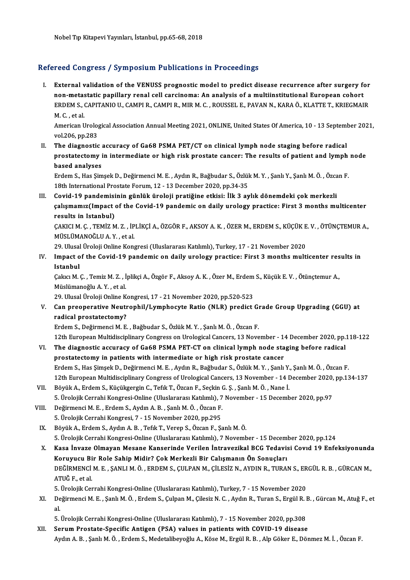Nobel Tıp Kitapevi Yayınları, İstanbul, pp.65-68, 2018

#### Refereed Congress / Symposium Publications in Proceedings

efereed Congress / Symposium Publications in Proceedings<br>I. External validation of the VENUSS prognostic model to predict disease recurrence after surgery for<br>The metastatic papillary renal call carginoma: An analysis of a noon-metastatic papillary renal cell carcinoma: An analysis of a multiinstitutional European cohort<br>non-metastatic papillary renal cell carcinoma: An analysis of a multiinstitutional European cohort<br>EPDEM S. CARITANIO IL C External validation of the VENUSS prognostic model to predict disease recurrence after surgery for<br>non-metastatic papillary renal cell carcinoma: An analysis of a multiinstitutional European cohort<br>ERDEM S., CAPITANIO U., non-metas<br>ERDEM S., (<br>M. C. , et al.<br>American L ERDEM S., CAPITANIO U., CAMPI R., CAMPI R., MIR M. C. , ROUSSEL E., PAVAN N., KARA Ö., KLATTE T., KRIEGMAIR<br>M. C. , et al.<br>American Urological Association Annual Meeting 2021, ONLINE, United States Of America, 10 - 13 Sept

M. C. , et al.<br>American Urological Association Annual Meeting 2021, ONLINE, United States Of America, 10 - 13 September 2021,<br>vol.206, pp.283 American Urological Association Annual Meeting 2021, ONLINE, United States Of America, 10 - 13 Septem<br>vol.206, pp.283<br>II. The diagnostic accuracy of Ga68 PSMA PET/CT on clinical lymph node staging before radical<br>prostatest

vol.206, pp.283<br>The diagnostic accuracy of Ga68 PSMA PET/CT on clinical lymph node staging before radical<br>prostatectomy in intermediate or high risk prostate cancer: The results of patient and lymph node<br>besed analyses The diagnostic<br>prostatectomy i<br>based analyses<br>Endom S. Has Sim prostatectomy in intermediate or high risk prostate cancer: The results of patient and lymph<br>based analyses<br>Erdem S., Has Şimşek D., Değirmenci M. E. , Aydın R., Bağbudar S., Özlük M. Y. , Şanlı Y., Şanlı M. Ö. , Özcan F.<br>

based analyses<br>18th International Prostate Forum, 12 - 13 December 2020, pp.34-35<br>18th International Prostate Forum, 12 - 13 December 2020, pp.34-35

III. Covid-19 pandemisinin günlük üroloji pratiğine etkisi: İlk 3 aylık dönemdeki çok merkezli 18th International Prostate Forum, 12 - 13 December 2020, pp.34-35<br>Covid-19 pandemisinin günlük üroloji pratiğine etkisi: İlk 3 aylık dönemdeki çok merkezli<br>çalışmamız(Impact of the Covid-19 pandemic on daily urology pract Covid-19 pandemisi<br>çalışmamız(Impact<br>results in Istanbul)<br>CAKICLM C. TEMİZM çalışmamız(Impact of the Covid-19 pandemic on daily urology practice: First 3 months multicenter<br>results in Istanbul)<br>ÇAKICI M. Ç. , TEMİZ M. Z. , İPLİKÇİ A., ÖZGÖR F., AKSOY A. K. , ÖZER M., ERDEM S., KÜÇÜK E. V. , ÖTÜNÇT

results in Istanbul)<br>ÇAKICI M. Ç. , TEMİZ M. Z. , İP<br>MÜSLÜMANOĞLU A. Y. , et al.<br>29. Ulusal Üraleji Online Kana ÇAKICI M. Ç. , TEMİZ M. Z. , İPLİKÇİ A., ÖZGÖR F., AKSOY A. K. , ÖZER M., ERDEM S., KÜÇÜK E<br>MÜSLÜMANOĞLU A. Y. , et al.<br>29. Ulusal Üroloji Online Kongresi (Uluslararası Katılımlı), Turkey, 17 - 21 November 2020<br>Imnast of t

MÜSLÜMANOĞLU A. Y. , et al.<br>29. Ulusal Üroloji Online Kongresi (Uluslararası Katılımlı), Turkey, 17 - 21 November 2020<br>IV. Impact of the Covid-19 pandemic on daily urology practice: First 3 months multicenter results i 29. Ulusal<br>Impact o<br>Istanbul<br>Calas M Impact of the Covid-19 pandemic on daily urology practice: First 3 months multicenter res<br>Istanbul<br>Çakıcı M. Ç. , Temiz M. Z. , İplikçi A., Özgör F., Aksoy A. K. , Özer M., Erdem S., Küçük E. V. , Ötünçtemur A<br>Müclümanoğlu

I<mark>stanbul</mark><br>Çakıcı M. Ç. , Temiz M. Z. , İ<br>Müslümanoğlu A. Y. , et al.<br>29. Husal Üralaji Online K Çakıcı M. Ç. , Temiz M. Z. , İplikçi A., Özgör F., Aksoy A. K. , Özer M., Erdem<br>Müslümanoğlu A. Y. , et al.<br>29. Ulusal Üroloji Online Kongresi, 17 - 21 November 2020, pp.520-523<br>Can preoporative Noutrephil (Lumphoeyte Bati

## Müslümanoğlu A. Y. , et al.<br>29. Ulusal Üroloji Online Kongresi, 17 - 21 November 2020, pp.520-523<br>V. Can preoperative Neutrophil/Lymphocyte Ratio (NLR) predict Grade Group Upgrading (GGU) at<br>radical prestatestery? 29. Ulusal Üroloji Online Ko<br>Can preoperative Neutr<br>radical prostatectomy?<br>Erdem S. Değirmengi M. E radical prostatectomy?<br>Erdem S., Değirmenci M. E. , Bağbudar S., Özlük M. Y. , Şanlı M. Ö. , Özcan F.

radical prostatectomy?<br>Erdem S., Değirmenci M. E. , Bağbudar S., Özlük M. Y. , Şanlı M. Ö. , Özcan F.<br>12th European Multidisciplinary Congress on Urological Cancers, 13 November - 14 December 2020, pp.118-122<br>The disgnesti VI. The diagnostic accuracy of Ga68 PSMA PET-CT on clinical lymph node staging before radical 12th European Multidisciplinary Congress on Urological Cancers, 13 November - 1<sup>1</sup><br>The diagnostic accuracy of Ga68 PSMA PET-CT on clinical lymph node sta<br>prostatectomy in patients with intermediate or high risk prostate ca ErdemS.,Has ŞimşekD.,DeğirmenciM.E. ,AydınR.,Bağbudar S.,ÖzlükM.Y. ,ŞanlıY.,ŞanlıM.Ö. ,ÖzcanF.

prostatectomy in patients with intermediate or high risk prostate cancer<br>Erdem S., Has Şimşek D., Değirmenci M. E. , Aydın R., Bağbudar S., Özlük M. Y. , Şanlı Y., Şanlı M. Ö. , Özcan F.<br>12th European Multidisciplinary Con Erdem S., Has Şimşek D., Değirmenci M. E. , Aydın R., Bağbudar S., Özlük M. Y. , Şanlı Y.<br>12th European Multidisciplinary Congress of Urological Cancers, 13 November - 14 I.<br>14 . Böyük A., Erdem S., Küçükgergin C., Tefik T

- 12th European Multidisciplinary Congress of Urological Cancers, 13 November 14 December 2020,<br>Böyük A., Erdem S., Küçükgergin C., Tefik T., Özcan F., Seçkin G. Ş. , Şanlı M. Ö. , Nane İ.<br>5. Ürolojik Cerrahi Kongresi-Onli VII. Böyük A., Erdem S., Küçükgergin C., Tefik T., Özcan F., Seçkin (<br>5. Ürolojik Cerrahi Kongresi-Online (Uluslararası Katılımlı), 7<br>VIII. Değirmenci M. E., Erdem S., Aydın A. B., Şanlı M. Ö., Özcan F.<br>5. Ürolojik Cerrahi 5. Ürolojik Cerrahi Kongresi-Online (Uluslararası Katılımlı), 7 November - 15 December 2020, pp.97<br>Değirmenci M. E. , Erdem S., Aydın A. B. , Şanlı M. Ö. , Özcan F.<br>5. Ürolojik Cerrahi Kongresi, 7 - 15 November 2020, pp.29
- VIII. Değirmenci M. E. , Erdem S., Aydın A. B. , Şanlı M. Ö. , Özcan F.<br>5. Ürolojik Cerrahi Kongresi, 7 15 November 2020, pp.295<br>IX. Böyük A., Erdem S., Aydın A. B. , Tefık T., Verep S., Özcan F., Şanlı M. Ö.
- 5. Ürolojik Cerrahi Kongresi, 7 15 November 2020, pp.295<br>Böyük A., Erdem S., Aydın A. B. , Tefik T., Verep S., Özcan F., Şanlı M. Ö.<br>5. Ürolojik Cerrahi Kongresi-Online (Uluslararası Katılımlı), 7 November 15 December
- X. Kasa İnvaze Olmayan Mesane Kanserinde Verilen İntravezikal BCG Tedavisi Covıd 19 Enfeksiyonunda<br>Koruyucu Bir Role Sahip Midir? Çok Merkezli Bir Calışmanın Ön Sonucları 5. Ürolojik Cerrahi Kongresi-Online (Uluslararası Katılımlı), 7 November - 15 Decem<br>Kasa İnvaze Olmayan Mesane Kanserinde Verilen İntravezikal BCG Tedavis<br>Koruyucu Bir Role Sahip Midir? Çok Merkezli Bir Calışmanın Ön Sonuç Kasa İnvaze Olmayan Mesane Kanserinde Verilen İntravezikal BCG Tedavisi Covıd 19 Enfeksiyonunda<br>Koruyucu Bir Role Sahip Midir? Çok Merkezli Bir Calışmanın Ön Sonuçları<br>DEĞİRMENCİ M. E. ,ŞANLI M. Ö. , ERDEM S., ÇULPAN M., Ç Koruyucu Bi<br>DEĞİRMENCİ<br>ATUĞ F., et al.<br>5. Ünelejik Cer DEĞİRMENCİ M. E. , ŞANLI M. Ö. , ERDEM S., ÇULPAN M., ÇİLESİZ N., AYDIN R., TURAN S., ER<br>ATUĞ F., et al.<br>5. Ürolojik Cerrahi Kongresi-Online (Uluslararası Katılımlı), Turkey, 7 - 15 November 2020<br>Değirmenci M. E., Sanlı M.

ATUĞ F., et al.<br>5. Ürolojik Cerrahi Kongresi-Online (Uluslararası Katılımlı), Turkey, 7 - 15 November 2020<br>XI. Değirmenci M. E. , Şanlı M. Ö. , Erdem S., Çulpan M., Çilesiz N. C. , Aydın R., Turan S., Ergül R. B. , Gür 5<br>De<br>al. Değirmenci M. E. , Şanlı M. Ö. , Erdem S., Çulpan M., Çilesiz N. C. , Aydın R., Turan S., Ergül R. l<br>al.<br>5. Ürolojik Cerrahi Kongresi-Online (Uluslararası Katılımlı), 7 - 15 November 2020, pp.308<br>Senum Prestate Spesifis An

al.<br>5. Ürolojik Cerrahi Kongresi-Online (Uluslararası Katılımlı), 7 - 15 November 2020, pp.308<br>XII. Serum Prostate-Specific Antigen (PSA) values in patients with COVID-19 disease

AydınA.B. ,ŞanlıM.Ö. ,ErdemS.,MedetalibeyoğluA.,KöseM.,ErgülR.B. ,AlpGöker E.,DönmezM. İ. ,ÖzcanF.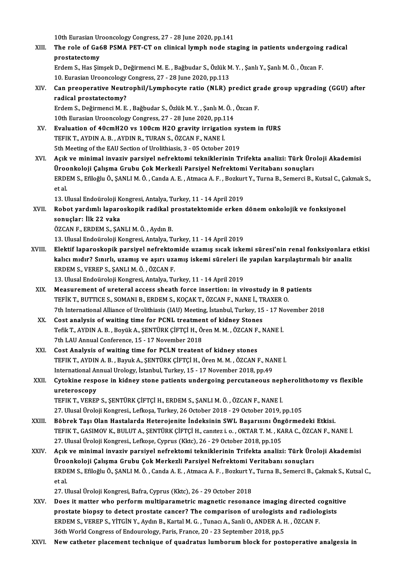10th Eurasian Urooncology Congress, 27 - 28 June 2020, pp.141<br>The role of Co69 PSMA PET CT on clinical lymph node sto

XIII. The role of Ga68 PSMA PET-CT on clinical lymph node staging in patients undergoing radical<br>prostatectomy 10th Eurasian Ur<br>The role of Gate<br>prostatectomy<br>Endom S. Has Sin The role of Ga68 PSMA PET-CT on clinical lymph node staging in patients undergoing<br>prostatectomy<br>Erdem S., Has Şimşek D., Değirmenci M. E. , Bağbudar S., Özlük M. Y. , Şanlı Y., Şanlı M. Ö. , Özcan F.<br>10. Eurosian Ureongel

prostatectomy<br>Erdem S., Has Şimşek D., Değirmenci M. E. , Bağbudar S., Özlük M<br>10. Eurasian Urooncology Congress, 27 - 28 June 2020, pp.113<br>Can preenerative Neutrophil (Lymphosyte ratio (NLP), p

Erdem S., Has Şimşek D., Değirmenci M. E. , Bağbudar S., Özlük M. Y. , Şanlı Y., Şanlı M. Ö. , Özcan F.<br>10. Eurasian Urooncology Congress, 27 - 28 June 2020, pp.113<br>XIV. Can preoperative Neutrophil/Lymphocyte ratio (NL 10. Eurasian Urooncology Congress, 27 - 28 June 2020, pp.113<br>Can preoperative Neutrophil/Lymphocyte ratio (NLR) predict gr<br>radical prostatectomy?<br>Erdem S., Değirmenci M. E., Bağbudar S., Özlük M. Y., Şanlı M. Ö., Özcan F. Can preoperative Neutrophil/Lymphocyte ratio (NLR) predict gr<br>radical prostatectomy?<br>Erdem S., Değirmenci M. E. , Bağbudar S., Özlük M. Y. , Şanlı M. Ö. , Özcan F.<br>10th Eurosian Ureopselogy Congress, 27, ... 28 June 2020,

10th Eurasian Urooncology Congress, 27 - 28 June 2020, pp.114 Erdem S., Değirmenci M. E. , Bağbudar S., Özlük M. Y. , Şanlı M. Ö. , Özcan F.<br>10th Eurasian Urooncology Congress, 27 - 28 June 2020, pp.114<br>XV. Evaluation of 40cmH2O vs 100cm H2O gravity irrigation system in fURS<br>TEELY T.

- 10th Eurasian Urooncology Congress, 27 28 June 2020, pp.1<br>**Evaluation of 40cmH2O vs 100cm H2O gravity irrigational S.**<br>TEFIK T., AYDIN A. B., AYDIN R., TURAN S., ÖZCAN F., NANE İ. Evaluation of 40cmH2O vs 100cm H2O gravity irrigation sy:<br>TEFIK T., AYDIN A. B., AYDIN R., TURAN S., ÖZCAN F., NANE İ.<br>5th Meeting of the EAU Section of Urolithiasis, 3 - 05 October 2019<br>Asik ve minimal invesiv parsival pe TEFIK T., AYDIN A. B. , AYDIN R., TURAN S., ÖZCAN F., NANE İ.<br>5th Meeting of the EAU Section of Urolithiasis, 3 - 05 October 2019<br>XVI. Açık ve minimal invaziv parsiyel nefrektomi tekniklerinin Trifekta analizi: Türk Ür
- 5th Meeting of the EAU Section of Urolithiasis, 3 05 October 2019<br>Açık ve minimal invaziv parsiyel nefrektomi tekniklerinin Trifekta analizi: Türk Üro<br>Üroonkoloji Çalışma Grubu Çok Merkezli Parsiyel Nefrektomi Veritabanı Açık ve minimal invaziv parsiyel nefrektomi tekniklerinin Trifekta analizi: Türk Üroloji Akademisi<br>Üroonkoloji Çalışma Grubu Çok Merkezli Parsiyel Nefrektomi Veritabanı sonuçları<br>ERDEM S., Efiloğlu Ö., ŞANLI M. Ö. , Canda **Üroc**<br>ERDI<br>et al.<br>12. U ERDEM S., Efiloğlu Ö., ŞANLI M. Ö. , Canda A. E. , Atmaca A. F. , Bozkur<br>et al.<br>13. Ulusal Endoüroloji Kongresi, Antalya, Turkey, 11 - 14 April 2019<br>Bobat vandımlı lanansakanik nadikal prestataktamide erken

13. Ulusal Endoüroloji Kongresi, Antalya, Turkey, 11 - 14 April 2019

et al.<br>13. Ulusal Endoüroloji Kongresi, Antalya, Turkey, 11 - 14 April 2019<br>XVII. Robot yardımlı laparoskopik radikal prostatektomide erken dönem onkolojik ve fonksiyonel<br>sonuçlar: İlk 22 vaka

ÖZCANF.,ERDEMS.,ŞANLIM.Ö. ,AydınB.

13.UlusalEndoürolojiKongresi,Antalya,Turkey,11 -14April2019

- XVIII. Elektif laparoskopik parsiyel nefrektomide uzamış sıcak iskemi süresi'nin renal fonksiyonlara etkisi 13. Ulusal Endoüroloji Kongresi, Antalya, Turkey, 11 - 14 April 2019<br>Elektif laparoskopik parsiyel nefrektomide uzamış sıcak iskemi süresi'nin renal fonksiyonlara<br>kalıcı mıdır? Sınırlı, uzamış ve aşırı uzamış iskemi sürele Elektif laparoskopik parsiyel nefrektor<br>kalıcı mıdır? Sınırlı, uzamış ve aşırı uza<br>ERDEM S., VEREP S., ŞANLI M. Ö. , ÖZCAN F.<br>12 Ulucal Endoüroloji Kongresi, Antalya Tu kalıcı mıdır? Sınırlı, uzamış ve aşırı uzamış iskemi süreleri ile<br>ERDEM S., VEREP S., ŞANLI M. Ö. , ÖZCAN F.<br>13. Ulusal Endoüroloji Kongresi, Antalya, Turkey, 11 - 14 April 2019<br>Measurement of ureteral assess sheath ferse
	-
	- ERDEM S., VEREP S., ŞANLI M. Ö., ÖZCAN F.<br>13. Ulusal Endoüroloji Kongresi, Antalya, Turkey, 11 14 April 2019<br>XIX. Measurement of ureteral access sheath force insertion: in vivostudy in 8 patients<br>TERIK T. PUTTICE S. SOMA 13. Ulusal Endoüroloji Kongresi, Antalya, Turkey, 11 - 14 April 2019<br>Measurement of ureteral access sheath force insertion: in vivostudy in 8 p<br>TEFİK T., BUTTICE S., SOMANI B., ERDEM S., KOÇAK T., ÖZCAN F., NANE İ., TRAXER TEFİK T., BUTTICE S., SOMANI B., ERDEM S., KOÇAK T., ÖZCAN F., NANE İ., TRAXER O.<br>7th International Alliance of Urolithiasis (IAU) Meeting, İstanbul, Turkey, 15 - 17 November 2018 TEFIK T., BUTTICE S., SOMANI B., ERDEM S., KOÇAK T., ÖZCAN F., NANE İ., TI<br>7th International Alliance of Urolithiasis (IAU) Meeting, İstanbul, Turkey, 15<br>XX. Cost analysis of waiting time for PCNL treatment of kidney Stone
	- Tefik T., AYDIN A. B. , Boyük A., ŞENTÜRK ÇİFTÇİ H., Ören M. M. , ÖZCAN F., NANE İ.<br>7th LAU Annual Conference, 15 17 November 2018 Cost analysis of waiting time for PCNL treatmer<br>Tefik T., AYDIN A. B., Boyük A., ŞENTÜRK ÇİFTÇİ H., Ö.<br>7th LAU Annual Conference, 15 - 17 November 2018<br>Cost Analysis of waiting time for PCLN treatent
	- XXI. Cost Analysis of waiting time for PCLN treatent of kidney stones TEFIK T., AYDIN A.B., Bayuk A., ŞENTÜRK ÇİFTÇİ H., Ören M.M., ÖZCAN F., NANE İ. Cost Analysis of waiting time for PCLN treatent of kidney stones<br>TEFIK T., AYDIN A. B. , Bayuk A., ŞENTÜRK ÇİFTÇİ H., Ören M. M. , ÖZCAN F., NAI<br>International Annual Urology, İstanbul, Turkey, 15 - 17 November 2018, pp.49<br>

### TEFIK T., AYDIN A. B. , Bayuk A., ŞENTÜRK ÇİFTÇİ H., Ören M. M. , ÖZCAN F., NANE İ.<br>International Annual Urology, İstanbul, Turkey, 15 - 17 November 2018, pp.49<br>XXII. Cytokine respose in kidney stone patients undergoing pe International Ar<br>Cytokine resp<br>ureteroscopy<br>TEEIK T. VEREI Cytokine respose in kidney stone patients undergoing percutaneous nep<br>ureteroscopy<br>TEFIK T., VEREP S., ŞENTÜRK ÇİFTÇİ H., ERDEM S., ŞANLI M. Ö. , ÖZCAN F., NANE İ.<br>27 Hlucal Üreleji Konsresi, Lefkese Turkey, 26 Ostober 201 ureteroscopy<br>TEFIK T., VEREP S., ŞENTÜRK ÇİFTÇİ H., ERDEM S., ŞANLI M. Ö. , ÖZCAN F., NANE İ.<br>27. Ulusal Üroloji Kongresi., Lefkoşa, Turkey, 26 October 2018 - 29 October 2019, pp.105

- TEFIK T., VEREP S., ŞENTÜRK ÇİFTÇİ H., ERDEM S., ŞANLI M. Ö. , ÖZCAN F., NANE İ.<br>27. Ulusal Üroloji Kongresi., Lefkoşa, Turkey, 26 October 2018 29 October 2019, pp.105<br>XXIII. Böbrek Taşı Olan Hastalarda Heterojenite İnde 27. Ulusal Üroloji Kongresi., Lefkoşa, Turkey, 26 October 2018 - 29 October 2019, pp.105<br>Böbrek Taşı Olan Hastalarda Heterojenite İndeksinin SWL Başarısını Öngörmedeki Etkisi.<br>TEFIK T., GASIMOV K., BULUT A., ŞENTÜRK ÇİFTÇİ TEFIK T., GASIMOV K., BULUT A., ŞENTÜRK ÇİFTÇİ H., canıtez i. o. , OKTAR T. M. , KARA C., ÖZCAN F., NANE İ.<br>27. Ulusal Üroloji Kongresi., Lefkoşe, Cyprus (Kktc), 26 - 29 October 2018, pp.105 TEFIK T., GASIMOV K., BULUT A., ŞENTÜRK ÇİFTÇİ H., canıtez i. o. , OKTAR T. M. , KARA C., ÖZCAN F., NANE İ.<br>27. Ulusal Üroloji Kongresi, Lefkoşe, Cyprus (Kktc), 26 - 29 October 2018, pp.105<br>XXIV. Açık ve minimal invaziv pa
- 27. Ulusal Üroloji Kongresi., Lefkoşe, Cyprus (Kktc), 26 29 October 2018, pp.105<br>Açık ve minimal invaziv parsiyel nefrektomi tekniklerinin Trifekta analizi: Türk Üro<br>Üroonkoloji Çalışma Grubu Çok Merkezli Parsiyel Nefrek Açık ve minimal invaziv parsiyel nefrektomi tekniklerinin Trifekta analizi: Türk Üroloji Akademisi<br>Üroonkoloji Çalışma Grubu Çok Merkezli Parsiyel Nefrektomi Veritabanı sonuçları<br>ERDEM S., Efiloğlu Ö., ŞANLI M. Ö. , Canda Üroonkoloji Çalışma Grubu Çok Merkezli Parsiyel Nefrektomi Veritabanı sonuçları<br>ERDEM S., Efiloğlu Ö., ŞANLI M. Ö. , Canda A. E. , Atmaca A. F. , Bozkurt Y., Turna B., Semerci B.,<br>et al.<br>27. Ulusal Üroloji Kongresi, Bafra, ERDEM S., Efiloğlu Ö., SANLI M. Ö., Canda A. E., Atmaca A. F., Bozkurt Y., Turna B., Semerci B., Cakmak S., Kutsal C.,

- et al.<br>27. Ulusal Üroloji Kongresi, Bafra, Cyprus (Kktc), 26 29 October 2018<br>XXV. Does it matter who perform multiparametric magnetic resonance imaging directed cognitive<br>nnestate bioney to detect prestate concer? Th 27. Ulusal Üroloji Kongresi, Bafra, Cyprus (Kktc), 26 - 29 October 2018<br>Does it matter who perform multiparametric magnetic resonance imaging directed cogniti<br>prostate biopsy to detect prostate cancer? The comparison of ur Does it matter who perform multiparametric magnetic resonance imaging directed c<br>prostate biopsy to detect prostate cancer? The comparison of urologists and radiolo<br>ERDEM S., VEREP S., YİTGİN Y., Aydın B., Kartal M. G. , T prostate biopsy to detect prostate cancer? The comparison of urologists<br>ERDEM S., VEREP S., YİTGİN Y., Aydın B., Kartal M. G. , Tunacı A., Sanli O., ANDER A. F<br>36th World Congress of Endourology, Paris, France, 20 - 23 Sep ERDEM S., VEREP S., YİTGİN Y., Aydın B., Kartal M. G. , Tunacı A., Sanli O., ANDER A. H. , ÖZCAN F.<br>36th World Congress of Endourology, Paris, France, 20 - 23 September 2018, pp.5<br>XXVI. New catheter placement technique
-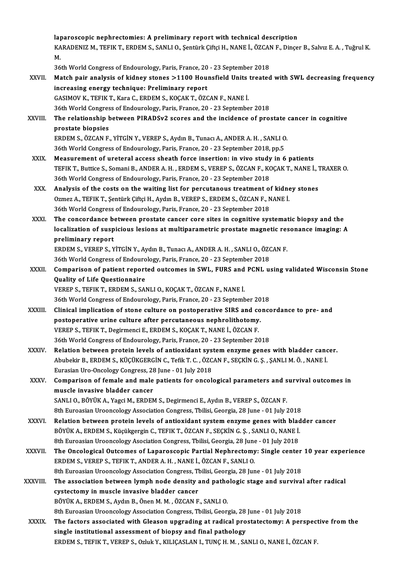laparoscopic nephrectomies: A preliminary report with technical description<br>KARADENIZ M. TEEIK T. ERDEM S. SANLLO, Sortink Ciftai H. NANE L. ÖZCAN E. Dingo laparoscopic nephrectomies: A preliminary report with technical description<br>KARADENIZ M., TEFIK T., ERDEM S., SANLI O., Şentürk Çiftçi H., NANE İ., ÖZCAN F., Dinçer B., Salvız E. A. , Tuğrul K.<br>M la<br>KA<br>M. KARADENIZ M., TEFIK T., ERDEM S., SANLI O., Şentürk Çiftçi H., NANE İ., ÖZCAN<br>M.<br>36th World Congress of Endourology, Paris, France, 20 - 23 September 2018<br>Matab pair analysis of kidney stanes >1100 Houngfield Unite treated

36th World Congress of Endourology, Paris, France, 20 - 23 September 2018

M.<br>36th World Congress of Endourology, Paris, France, 20 - 23 September 2018<br>XXVII. Match pair analysis of kidney stones >1100 Hounsfield Units treated with SWL decreasing frequency<br>increasing energy technique: Preliminary GASIMOV K., TEFIK T., Kara C., ERDEM S., KOÇAK T., ÖZCAN F., NANE İ. 36th World Congress of Endourology, Paris, France, 20 - 23 September 2018 GASIMOV K., TEFIK T., Kara C., ERDEM S., KOÇAK T., ÖZCAN F., NANE İ.<br>36th World Congress of Endourology, Paris, France, 20 - 23 September 2018<br>XXVIII. The relationship between PIRADSv2 scores and the incidence of prost 36th World Congres<br>The relationship<br>prostate biopsies<br>EPDEM S. ÖZCAN E The relationship between PIRADSv2 scores and the incidence of prostate<br>prostate biopsies<br>ERDEM S., ÖZCAN F., YİTGİN Y., VEREP S., Aydın B., Tunacı A., ANDER A. H. , SANLI O.<br>26th World Congress of Endourology, Paris, Erang prostate biopsies<br>36th World Congress of Endourology, Paris, France, 20 - 23 September 2018, pp.5<br>36th World Congress of Endourology, Paris, France, 20 - 23 September 2018, pp.5 XXIX. Measurement of ureteral access sheath force insertion: in vivo study in 6 patients 36th World Congress of Endourology, Paris, France, 20 - 23 September 2018, pp.5<br>Measurement of ureteral access sheath force insertion: in vivo study in 6 patients<br>TEFIK T., Buttice S., Somani B., ANDER A. H. , ERDEM S., VE Measurement of ureteral access sheath force insertion: in vivo study<br>TEFIK T., Buttice S., Somani B., ANDER A. H. , ERDEM S., VEREP S., ÖZCAN F., KO<br>36th World Congress of Endourology, Paris, France, 20 - 23 September 2018 TEFIK T., Buttice S., Somani B., ANDER A. H., ERDEM S., VEREP S., ÖZCAN F., KOÇAK T., NANE İ., 7<br>36th World Congress of Endourology, Paris, France, 20 - 23 September 2018<br>XXX. Analysis of the costs on the waiting list for 36th World Congress of Endourology, Paris, France, 20 - 23 September 2018<br>Analysis of the costs on the waiting list for percutanous treatment of kidne<br>Ozmez A., TEFIK T., Şentürk Çiftçi H., Aydın B., VEREP S., ERDEM S., ÖZ Analysis of the costs on the waiting list for percutanous treatment of<br>Ozmez A., TEFIK T., Şentürk Çiftçi H., Aydın B., VEREP S., ERDEM S., ÖZCAN F., N<br>36th World Congress of Endourology, Paris, France, 20 - 23 September 2 Ozmez A., TEFIK T., Şentürk Çiftçi H., Aydın B., VEREP S., ERDEM S., ÖZCAN F., NANE İ.<br>36th World Congress of Endourology, Paris, France, 20 - 23 September 2018<br>XXXI. The concordance between prostate cancer core sites 36th World Congress of Endourology, Paris, France, 20 - 23 September 2018<br>The concordance between prostate cancer core sites in cognitive systematic biopsy and the<br>localization of suspicious lesions at multiparametric pros The concordance be<br>localization of susp<br>preliminary report<br>EPDEM S. VEPEP S. V localization of suspicious lesions at multiparametric prostate magnetic res<br>preliminary report<br>ERDEM S., VEREP S., YİTGİN Y., Aydın B., Tunacı A., ANDER A. H. , SANLI O., ÖZCAN F.<br>26th World Congress of Endourology, Paris, preliminary report<br>ERDEM S., VEREP S., YİTGİN Y., Aydın B., Tunacı A., ANDER A. H. , SANLI O., ÖZC<br>36th World Congress of Endourology, Paris, France, 20 - 23 September 2018<br>Comparison of patient reported outcomes in SWL. F ERDEM S., VEREP S., YİTGİN Y., Aydın B., Tunacı A., ANDER A. H. , SANLI O., ÖZCAN F.<br>36th World Congress of Endourology, Paris, France, 20 - 23 September 2018<br>XXXII. Comparison of patient reported outcomes in SWL, FURS 36th World Congress of Endouro<br>Comparison of patient report<br>Quality of Life Questionnaire<br>VERERS STEELET FRANCS SAL Comparison of patient reported outcomes in SWL, FURS and<br>Quality of Life Questionnaire<br>VEREP S., TEFIK T., ERDEM S., SANLI O., KOÇAK T., ÖZCAN F., NANE İ.<br>26th World Congress of Endourelogy, Baris, Erange 20, 22 Sontamb Quality of Life Questionnaire<br>VEREP S., TEFIK T., ERDEM S., SANLI O., KOÇAK T., ÖZCAN F., NANE İ.<br>36th World Congress of Endourology, Paris, France, 20 - 23 September 2018 XXXIII. Clinical implication of stone culture on postoperative SIRS and concordance to pre- and 36th World Congress of Endourology, Paris, France, 20 - 23 September 20<br>Clinical implication of stone culture on postoperative SIRS and co<br>postoperative urine culture after percutaneous nephrolithotomy.<br>VERED S. TEELY T. D Clinical implication of stone culture on postoperative SIRS and constoperative urine culture after percutaneous nephrolithotomy<br>VEREP S., TEFIK T., Degirmenci E., ERDEM S., KOÇAK T., NANE İ., ÖZCAN F.<br>26th Werld Congress o postoperative urine culture after percutaneous nephrolithotomy.<br>VEREP S., TEFIK T., Degirmenci E., ERDEM S., KOÇAK T., NANE İ., ÖZCAN F.<br>36th World Congress of Endourology, Paris, France, 20 - 23 September 2018<br>Pelation be VEREP S., TEFIK T., Degirmenci E., ERDEM S., KOÇAK T., NANE İ., ÖZCAN F.<br>36th World Congress of Endourology, Paris, France, 20 - 23 September 2018<br>XXXIV. Relation between protein levels of antioxidant system enzyme gen 36th World Congress of Endourology, Paris, France, 20 - 23 September 2018<br>Relation between protein levels of antioxidant system enzyme genes with bladder cano<br>Abubekir B., ERDEM S., KÜÇÜKGERGİN C., Tefik T. C. , ÖZCAN F., Relation between protein levels of antioxidant sys<br>Abubekir B., ERDEM S., KÜÇÜKGERGİN C., Tefik T. C. , ÖZC<br>Eurasian Uro-Oncology Congress, 28 June - 01 July 2018<br>Companison of fomale and male patients for oncol Abubekir B., ERDEM S., KÜÇÜKGERGİN C., Tefik T. C. , ÖZCAN F., SEÇKİN G. Ş. , ŞANLI M. Ö. , NANE İ.<br>Eurasian Uro-Oncology Congress, 28 June - 01 July 2018<br>XXXV. Comparison of female and male patients for oncological pa Eurasian Uro-Oncology Congress, 28<br>Comparison of female and male<br>muscle invasive bladder cancer<br>SANULO PÖVÜV A Vegsi M EPDEM Comparison of female and male patients for oncological parameters and s<br>muscle invasive bladder cancer<br>SANLI O., BÖYÜK A., Yagci M., ERDEM S., Degirmenci E., Aydın B., VEREP S., ÖZCAN F.<br><sup>9th Euroasian Ureonsology</sup> Associa muscle invasive bladder cancer<br>SANLI O., BÖYÜK A., Yagci M., ERDEM S., Degirmenci E., Aydın B., VEREP S., ÖZCAN F.<br>8th Euroasian Urooncology Association Congress, Tbilisi, Georgia, 28 June - 01 July 2018<br>Belation between p SANLI O., BÖYÜK A., Yagci M., ERDEM S., Degirmenci E., Aydın B., VEREP S., ÖZCAN F.<br>8th Euroasian Urooncology Association Congress, Tbilisi, Georgia, 28 June - 01 July 2018<br>XXXVI. Relation between protein levels of antioxi 8th Euroasian Urooncology Association Congress, Tbilisi, Georgia, 28 June - 01 July 2018<br>Relation between protein levels of antioxidant system enzyme genes with blad<br>BÖYÜK A., ERDEM S., Küçükgergin C., TEFIK T., ÖZCAN F., Relation between protein levels of antioxidant system enzyme genes with black<br>BÖYÜK A., ERDEM S., Küçükgergin C., TEFIK T., ÖZCAN F., SEÇKİN G. Ş. , SANLI O., NANE İ.<br>8th Euroasian Urooncology Asociation Congress, Tbilisi, BÖYÜK A., ERDEM S., Küçükgergin C., TEFIK T., ÖZCAN F., SEÇKİN G. Ş. , SANLI O., NANE İ.<br>8th Euroasian Urooncology Asociation Congress, Tbilisi, Georgia, 28 June - 01 July 2018<br>XXXVII. The Oncological Outcomes of Laparosco 8th Euroasian Urooncology Asociation Congress, Tbilisi, Georgia, 28 June<br>The Oncological Outcomes of Laparoscopic Partial Nephrectomy<br>ERDEM S., VEREP S., TEFIK T., ANDER A. H. , NANE İ., ÖZCAN F., SANLI O.<br><sup>9th Euroasian U</sup> The Oncological Outcomes of Laparoscopic Partial Nephrectomy: Single center<br>ERDEM S., VEREP S., TEFIK T., ANDER A. H. , NANE İ., ÖZCAN F., SANLI O.<br>8th Euroasian Urooncology Association Congress, Tbilisi, Georgia, 28 June ERDEM S., VEREP S., TEFIK T., ANDER A. H., NANE İ., ÖZCAN F., SANLI O.<br>8th Euroasian Urooncology Association Congress, Tbilisi, Georgia, 28 June - 01 July 2018<br>XXXVIII. The association between lymph node density and pathol 8th Euroasian Urooncology Association Congress, Tbilisi, Georgia, 28 June - 01 July 2018<br>The association between lymph node density and pathologic stage and surviva<br>cystectomy in muscle invasive bladder cancer<br>BÖYÜK A., ER The association between lymph node density and pathocystectomy in muscle invasive bladder cancer<br>BÖYÜK A., ERDEM S., Aydın B., Önen M. M. , ÖZCAN F., SANLI O.<br>8th Eurossian Ureonselegy Association Congress, Thilisi Coor cystectomy in muscle invasive bladder cancer<br>BÖYÜK A., ERDEM S., Aydın B., Önen M. M. , ÖZCAN F., SANLI O.<br>8th Euroasian Urooncology Association Congress, Tbilisi, Georgia, 28 June - 01 July 2018<br>The fectors associated wit XXXIX. The factors associated with Gleason upgrading at radical prostatectomy: A perspective from the single institutional assessment of biopsy and final pathology 8th Euroasian Urooncology Association Congress, Tbilisi, Georgia, 28<br>The factors associated with Gleason upgrading at radical pro<br>single institutional assessment of biopsy and final pathology<br>EPDEM S. TEELY T. VERERS, OFWA ERDEMS.,TEFIKT.,VEREPS.,OzlukY.,KILIÇASLANI.,TUNÇH.M. ,SANLIO.,NANEİ.,ÖZCANF.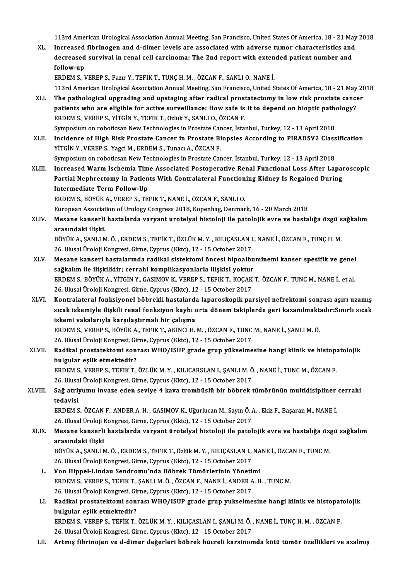113rd American Urological Association Annual Meeting, San Francisco, United States Of America, 18 - 21 May 2018<br>Increased fibrinesse and d dimer levels are associated with adverse tumer sharesteristics and

113rd American Urological Association Annual Meeting, San Francisco, United States Of America, 18 - 21 May<br>XL. Increased fibrinogen and d-dimer levels are associated with adverse tumor characteristics and<br>decreased curviva 113rd American Urological Association Annual Meeting, San Francisco, United States Of America, 18 - 21 Ma<br>Increased fibrinogen and d-dimer levels are associated with adverse tumor characteristics and<br>decreased survival in Increased fibrinogen and d-dimer levels are associated with adverse tumor characteristics and<br>decreased survival in renal cell carcinoma: The 2nd report with extended patient number and<br>follow-up

ERDEM S., VEREP S., Pazır Y., TEFIK T., TUNÇ H. M. , ÖZCAN F., SANLI O., NANE İ.

113rd American Urological Association Annual Meeting, San Francisco, United States Of America, 18 - 21 May 2018

- ERDEM S., VEREP S., Pazir Y., TEFIK T., TUNÇ H. M., ÖZCAN F., SANLI O., NANE İ.<br>113rd American Urological Association Annual Meeting, San Francisco, United States Of America, 18 21 May 20<br>XLI. The pathological upgrading 113rd American Urological Association Annual Meeting, San Francisco, United States Of America, 18 - 21 May<br>The pathological upgrading and upstaging after radical prostatectomy in low risk prostate cance<br>patients who are el The pathological upgrading and upstaging after radical prost<br>patients who are eligible for active surveillance: How safe is<br>ERDEM S., VEREP S., YİTGİN Y., TEFIK T., Ozluk Y., SANLI O., ÖZCAN F.<br>Sumposium on rabatissan Naw patients who are eligible for active surveillance: How safe is it to depend on bioptic pathology?<br>ERDEM S., VEREP S., YİTGİN Y., TEFIK T., Ozluk Y., SANLI O., ÖZCAN F.<br>Symposium on roboticsan New Technologies in Prostate C ERDEM S., VEREP S., YİTGİN Y., TEFIK T., Ozluk Y., SANLI O., ÖZCAN F.<br>Symposium on roboticsan New Technologies in Prostate Cancer, İstanbul, Turkey, 12 - 13 April 2018<br>XLII. Incidence of High Risk Prostate Cancer in Prosta
- Symposium on roboticsan New Technologies in Prostate Car<br>Incidence of High Risk Prostate Cancer in Prostate Bi<br>YİTGİN Y., VEREP S., Yagci M., ERDEM S., Tunacı A., ÖZCAN F.<br>Symposium on robotissan New Technologies in Prosta Incidence of High Risk Prostate Cancer in Prostate Biopsies According to PIRADSV2 Class<br>YiTGİN Y., VEREP S., Yagci M., ERDEM S., Tunacı A., ÖZCAN F.<br>Symposium on roboticsan New Technologies in Prostate Cancer, İstanbul, Tu
- YİTGİN Y., VEREP S., Yagci M., ERDEM S., Tunacı A., ÖZCAN F.<br>Symposium on roboticsan New Technologies in Prostate Cancer, İstanbul, Turkey, 12 13 April 2018<br>XLIII. Increased Warm Ischemia Time Associated Postoperative Re Symposium on roboticsan New Technologies in Prostate Cancer, İstanbul, Turkey, 12 - 13 April 2018<br>Increased Warm Ischemia Time Associated Postoperative Renal Functional Loss After Lapaı<br>Partial Nephrectomy In Patients With Increased Warm Ischemia Tim<br>Partial Nephrectomy In Patien<br>Intermediate Term Follow-Up<br>FRDEM S. RÖVÜK A. VERER S. TEI Partial Nephrectomy In Patients With Contralateral Functioning Kidney Is Regained During<br>Intermediate Term Follow-Up<br>ERDEM S., BÖYÜK A., VEREP S., TEFIK T., NANE İ., ÖZCAN F., SANLI O. Intermediate Term Follow-Up<br>ERDEM S., BÖYÜK A., VEREP S., TEFIK T., NANE İ., ÖZCAN F., SANLI O.<br>European Association of Urology Congress 2018, Kopenhag, Denmark, 16 - 20 March 2018<br>Masana kanaarli bastelanda yarvant unatel

ERDEM S., BÖYÜK A., VEREP S., TEFIK T., NANE İ., ÖZCAN F., SANLI O.<br>European Association of Urology Congress 2018, Kopenhag, Denmark, 16 - 20 March 2018<br>XLIV. Mesane kanserli hastalarda varyant urotelyal histoloji ile European Associat<br>Mesane kanserli<br>arasındaki ilişki.<br>PÖVÜV A. SANLLM Mesane kanserli hastalarda varyant urotelyal histoloji ile patolojik evre ve hastalığa özgü s<br>arasındaki ilişki.<br>BÖYÜK A., ŞANLI M. Ö. , ERDEM S., TEFİK T., ÖZLÜK M. Y. , KILIÇASLAN I., NANE İ., ÖZCAN F., TUNÇ H. M.<br>26 Hlu

arasındaki ilişki.<br>26. BÖYÜK A., ŞANLI M. Ö. , ERDEM S., TEFİK T., ÖZLÜK M. Y. , KILIÇASLAN I., NANE İ., ÖZCAN F., TUNÇ H. M.<br>26. Ulusal Üroloji Kongresi, Girne, Cyprus (Kktc), 12 - 15 October 2017 BÖYÜK A., ŞANLI M. Ö. , ERDEM S., TEFİK T., ÖZLÜK M. Y. , KILIÇASLAN I., NANE İ., ÖZCAN F., TUNÇ H. M.<br>26. Ulusal Üroloji Kongresi, Girne, Cyprus (Kktc), 12 - 15 October 2017<br>XLV. Mesane kanseri hastalarında radikal si

- 26. Ulusal Üroloji Kongresi, Girne, Cyprus (Kktc), 12 15 October 2017<br>Mesane kanseri hastalarında radikal sistektomi öncesi hipoalbu<br>sağkalım ile ilişkilidir; cerrahi komplikasyonlarla ilişkisi yoktur<br>FRDEM S. RÖVÜK A. V Mesane kanseri hastalarında radikal sistektomi öncesi hipoalbuminemi kanser spesifik ve genel<br>sağkalım ile ilişkilidir; cerrahi komplikasyonlarla ilişkisi yoktur<br>ERDEM S., BÖYÜK A., YİTGİN Y., GASIMOV K., VEREP S., TEFIK T sağkalım ile ilişkilidir; cerrahi komplikasyonlarla ilişkisi yoktur<br>ERDEM S., BÖYÜK A., YİTGİN Y., GASIMOV K., VEREP S., TEFIK T., KOÇAK T., ÖZCAN F., TUNC M., NANE İ., et al.<br>26. Ulusal Üroloji Kongresi, Girne, Cyprus (Kk ERDEM S., BÖYÜK A., YİTGİN Y., GASIMOV K., VEREP S., TEFIK T., KOÇAK T., ÖZCAN F., TUNC M., NANE İ., et al.<br>26. Ulusal Üroloji Kongresi, Girne, Cyprus (Kktc), 12 - 15 October 2017<br>XLVI. Kontralateral fonksiyonel böbrekli h
- 26. Ulusal Üroloji Kongresi, Girne, Cyprus (Kktc), 12 15 October 2017<br>Kontralateral fonksiyonel böbrekli hastalarda laparoskopik parsiyel nefrektomi sonrası aşırı uzamış<br>sıcak iskemiyle ilişkili renal fonksiyon kaybı ort Kontralateral fonksiyonel böbrekli hastalard:<br>sıcak iskemiyle ilişkili renal fonksiyon kaybı ç<br>iskemi vakalarıyla karşılaştırmalı bir çalışma<br>FPDEM S. VERER S. RÖVÜK A. TEELK T. AKINCI H sıcak iskemiyle ilişkili renal fonksiyon kaybı orta dönem takiplerde geri kazanılmaktadır:Sınırlı sıcak<br>iskemi vakalarıyla karşılaştırmalı bir çalışma<br>ERDEM S., VEREP S., BÖYÜK A., TEFIK T., AKINCI H. M. , ÖZCAN F., TUNC M ERDEM S., VEREP S., BÖYÜK A., TEFIK T., AKINCI H. M., ÖZCAN F., TUNC M., NANE İ., ŞANLI M. Ö.

ERDEM S., VEREP S., BÖYÜK A., TEFIK T., AKINCI H. M. , ÖZCAN F., TUNC M., NANE İ., ŞANLI M. Ö.<br>26. Ulusal Üroloji Kongresi, Girne, Cyprus (Kktc), 12 - 15 October 2017<br>XLVII. Radikal prostatektomi sonrası WHO/ISUP grade 26. Ulusal Üroloji Kongresi, Gi<br>Radikal prostatektomi son:<br>bulgular eşlik etmektedir?<br>EPDEM S. VERER S. TEELK T. Radikal prostatektomi sonrası WHO/ISUP grade grup yükselmesine hangi klinik ve histop:<br>bulgular eşlik etmektedir?<br>ERDEM S., VEREP S., TEFIK T., ÖZLÜK M. Y. , KILICARSLAN I., ŞANLI M. Ö. , NANE İ., TUNC M., ÖZCAN F.<br>26 Uluc bulgular eşlik etmektedir?<br>ERDEM S., VEREP S., TEFIK T., ÖZLÜK M. Y. , KILICARSLAN I., ŞANLI M. Ö. , NANE İ., TUNC M., ÖZCAN F.

26. Ulusal Üroloji Kongresi, Girne, Cyprus (Kktc), 12 - 15 October 2017

## XLVIII. Sağ atriyumu invaze eden seviye 4 kava trombüslü bir böbrek tümörünün multidisipliner cerrahi<br>tedavisi Sağ atriyumu invaze eden seviye 4 kava trombüslü bir böbrek tümörünün multidisipliner<br>tedavisi<br>ERDEM S., ÖZCAN F., ANDER A. H. , GASIMOV K., Uğurlucan M., Sayın Ö. A. , Ekiz F., Başaran M., NANE İ.<br>26 Ulucal Üreleji Kongre

tedavisi<br>ERDEM S., ÖZCAN F., ANDER A. H. , GASIMOV K., Uğurlucan M., Sayın Ö. *I*<br>26. Ulusal Üroloji Kongresi, Girne, Cyprus (Kktc), 12 - 15 October 2017<br>Mesane kanserli bastalarda yaryant ürotelyel bisteleji ile natel ERDEM S., ÖZCAN F., ANDER A. H. , GASIMOV K., Uğurlucan M., Sayın Ö. A. , Ekiz F., Başaran M., NANE İ.<br>26. Ulusal Üroloji Kongresi, Girne, Cyprus (Kktc), 12 - 15 October 2017<br>XLIX. Mesane kanserli hastalarda varyant ürotel

## 26. Ulusal Üroloji Kongresi, Girne, Cyprus (Kktc), 12 - 15 October 2017<br>Mesane kanserli hastalarda varyant ürotelyal histoloji ile patolojik evre ve hastalığa özgü sağkalım<br>arasındaki ilişki Mesane kanserli hastalarda varyant ürotelyal histoloji ile patolojik evre ve hastalığa öz<sub>i</sub><br>arasındaki ilişki<br>BÖYÜK A., ŞANLI M. Ö. , ERDEM S., TEFIK T., Özlük M. Y. , KILIÇASLAN I., NANE İ., ÖZCAN F., TUNC M.<br>26 Hlucel Ü

<mark>arasındaki ilişki</mark><br>BÖYÜK A., ŞANLI M. Ö. , ERDEM S., TEFIK T., Özlük M. Y. , KILIÇASLAN I.,<br>26. Ulusal Üroloji Kongresi, Girne, Cyprus (Kktc), 12 - 15 October 2017<br>Ven Hinnel Lindeu Sendremu'nde Böhnek Tümörlerinin Yöneti BÖYÜK A., ŞANLI M. Ö., ERDEM S., TEFIK T., Özlük M. Y., KILIÇASLAN I., NA<br>26. Ulusal Üroloji Kongresi, Girne, Cyprus (Kktc), 12 - 15 October 2017<br>L. Von Hippel-Lindau Sendromu'nda Böbrek Tümörlerinin Yönetimi<br>ERDEM S. VERE

- 26. Ulusal Üroloji Kongresi, Girne, Cyprus (Kktc), 12 15 October 2017<br>Von Hippel-Lindau Sendromu'nda Böbrek Tümörlerinin Yönetimi<br>ERDEM S., VEREP S., TEFIK T., ŞANLI M. Ö. , ÖZCAN F., NANE İ., ANDER A. H. , TUNC M. Von Hippel-Lindau Sendromu'nda Böbrek Tümörlerinin Yöneti<br>ERDEM S., VEREP S., TEFIK T., ŞANLI M. Ö. , ÖZCAN F., NANE İ., ANDER A<br>26. Ulusal Üroloji Kongresi, Girne, Cyprus (Kktc), 12 - 15 October 2017<br>Badikal prostataktarı ERDEM S., VEREP S., TEFIK T., ŞANLI M. Ö. , ÖZCAN F., NANE İ., ANDER A. H. , TUNC M.<br>26. Ulusal Üroloji Kongresi, Girne, Cyprus (Kktc), 12 - 15 October 2017<br>LI. Radikal prostatektomi sonrası WHO/ISUP grade grup yukselm
- 26. Ulusal Üroloji Kongresi, Girne, Cyprus (Kktc), 12 15 October 2017<br>Radikal prostatektomi sonrası WHO/ISUP grade grup yukselmesine hangi klinik ve histopat<br>bulgular eşlik etmektedir?<br>ERDEM S., VEREP S., TEFİK T., ÖZLÜK Radikal prostatektomi sonrası WHO/ISUP grade grup yukselmesine hangi klinik ve histopat<br>bulgular eşlik etmektedir?<br>ERDEM S., VEREP S., TEFİK T., ÖZLÜK M. Y. , KILIÇASLAN I., ŞANLI M. Ö. , NANE İ., TUNÇ H. M. , ÖZCAN F.<br>26

26.UlusalÜrolojiKongresi,Girne,Cyprus (Kktc),12 -15October 2017

LII. Artmış fibrinojen ve d-dimer değerleri böbrek hücreli karsinomda kötü tümör özellikleri ve azalmış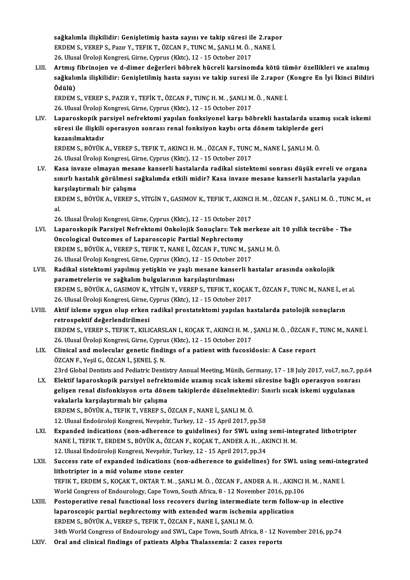sağkalımla ilişkilidir: Genişletimiş hasta sayısı ve takip süresi ile 2.rapor sağkalımla ilişkilidir: Genişletimiş hasta sayısı ve takip süresi ile 2.rap<br>ERDEM S., VEREP S., Pazır Y., TEFIK T., ÖZCAN F., TUNC M., ŞANLI M. Ö. , NANE İ.<br>26 Hlugal Üreleji Kongresi Girne Gunrus (Klts), 12, 15 Osteber 20 sağkalımla ilişkilidir: Genişletimiş hasta sayısı ve takip süresi il<br>ERDEM S., VEREP S., Pazır Y., TEFIK T., ÖZCAN F., TUNC M., ŞANLI M. Ö.,<br>26. Ulusal Üroloji Kongresi, Girne, Cyprus (Kktc), 12 - 15 October 2017<br>Artmış fi

ERDEM S., VEREP S., Pazır Y., TEFIK T., ÖZCAN F., TUNC M., ŞANLI M. Ö. , NANE İ.<br>26. Ulusal Üroloji Kongresi, Girne, Cyprus (Kktc), 12 - 15 October 2017<br>LIII. Artmış fibrinojen ve d-dimer değerleri böbrek hücreli karsinomd 26. Ulusal Üroloji Kongresi, Girne, Cyprus (Kktc), 12 - 15 October 2017<br>Artmış fibrinojen ve d-dimer değerleri böbrek hücreli karsinomda kötü tümör özellikleri ve azalmış<br>sağkalımla ilişkilidir: Genişletilmiş hasta sayısı Artmı<mark>ş</mark><br>sağkalıı<br>Ödülü)<br>EPDEM sağkalımla ilişkilidir: Genişletilmiş hasta sayısı ve takip suresi ile 2.rapor (<br>Ödülü)<br>ERDEM S., VEREP S., PAZIR Y., TEFİK T., ÖZCAN F., TUNÇ H. M. , ŞANLI M. Ö. , NANE İ.<br>26 Hlucal Üreleji Kongresi Cirne Cunrus (Klte), 1

Ödülü)<br>ERDEM S., VEREP S., PAZIR Y., TEFİK T., ÖZCAN F., TUNÇ H. M. , ŞANLI M<br>26. Ulusal Üroloji Kongresi, Girne, Cyprus (Kktc), 12 - 15 October 2017<br>Lanaroskanik narsiyal nefrektami yanılan fanksiyanel karsı bö

ERDEM S., VEREP S., PAZIR Y., TEFİK T., ÖZCAN F., TUNÇ H. M. , ŞANLI M. Ö. , NANE İ.<br>26. Ulusal Üroloji Kongresi, Girne, Cyprus (Kktc), 12 - 15 October 2017<br>LIV. Laparoskopik parsiyel nefrektomi yapılan fonksiyonel kar 26. Ulusal Üroloji Kongresi, Girne, Cyprus (Kktc), 12 - 15 October 2017<br>Laparoskopik parsiyel nefrektomi yapılan fonksiyonel karşı böbrekli hastalarda uzam<br>süresi ile ilişkili operasyon sonrası renal fonksiyon kaybı orta d Laparoskopik pa<br>süresi ile ilişkili<br>kazanılmaktadır<br>EPDEM S. PÖVÜV

süresi ile ilişkili operasyon sonrası renal fonksiyon kaybı orta dönem takiplerde geri<br>kazanılmaktadır<br>ERDEM S., BÖYÜK A., VEREP S., TEFIK T., AKINCI H. M. , ÖZCAN F., TUNC M., NANE İ., ŞANLI M. Ö.<br>26. Ulusal Üroloji Kongr ERDEM S., BÖYÜK A., VEREP S., TEFIK T., AKINCI H. M., ÖZCAN F., TUNC M., NANE İ., SANLI M. Ö. ERDEM S., BÖYÜK A., VEREP S., TEFIK T., AKINCI H. M. , ÖZCAN F., TUNC M., NANE İ., ŞANLI M. Ö.<br>26. Ulusal Üroloji Kongresi, Girne, Cyprus (Kktc), 12 - 15 October 2017<br>LV. Kasa invaze olmayan mesane kanserli hastalarda

26. Ulusal Üroloji Kongresi, Girne, Cyprus (Kktc), 12 - 15 October 2017<br>Kasa invaze olmayan mesane kanserli hastalarda radikal sistektomi sonrası düşük evreli ve organ<br>sınırlı hastalık görülmesi sağkalımda etkili midir? Ka Kasa invaze olmayan mesa<br>sınırlı hastalık görülmesi s<br>karşılaştırmalı bir çalışma<br>EPDEM S. PÖVÜV A. VEPED S sınırlı hastalık görülmesi sağkalımda etkili midir? Kasa invaze mesane kanserli hastalarla yapılan<br>karşılaştırmalı bir çalışma<br>ERDEM S., BÖYÜK A., VEREP S., YİTGİN Y., GASIMOV K., TEFIK T., AKINCI H. M. , ÖZCAN F., ŞANLI M

ka<br>ER<br>al. ERDEM S., BÖYÜK A., VEREP S., YİTGİN Y., GASIMOV K., TEFIK T., AKINCI<br>al.<br>26. Ulusal Üroloji Kongresi, Girne, Cyprus (Kktc), 12 - 15 October 2017<br>Lanangakanik Bansiyal Nefrektami Onkalajik Sanyalanı, Tak me

- al.<br>26. Ulusal Üroloji Kongresi, Girne, Cyprus (Kktc), 12 15 October 2017<br>LVI. Laparoskopik Parsiyel Nefrektomi Onkolojik Sonuçları: Tek merkeze ait 10 yıllık tecrübe The<br>Oncologisal Outsomes of Laparossopia Bartia 26. Ulusal Üroloji Kongresi, Girne, Cyprus (Kktc), 12 - 15 October 20<br>Laparoskopik Parsiyel Nefrektomi Onkolojik Sonuçları: Tek ı<br>Oncological Outcomes of Laparoscopic Partial Nephrectomy<br>FRDEM S. PÖVÜK A. VERER S. TEELK T. Laparoskopik Parsiyel Nefrektomi Onkolojik Sonuçları: Tek merkeze ait<br>Oncological Outcomes of Laparoscopic Partial Nephrectomy<br>ERDEM S., BÖYÜK A., VEREP S., TEFIK T., NANE İ., ÖZCAN F., TUNC M., ŞANLI M. Ö.<br>26 Hlucal Ürele Oncological Outcomes of Laparoscopic Partial Nephrectomy<br>ERDEM S., BÖYÜK A., VEREP S., TEFIK T., NANE İ., ÖZCAN F., TUNC M., Ş.<br>26. Ulusal Üroloji Kongresi, Girne, Cyprus (Kktc), 12 - 15 October 2017<br>Padikal sistektemi van ERDEM S., BÖYÜK A., VEREP S., TEFIK T., NANE İ., ÖZCAN F., TUNC M., ŞANLI M. Ö.<br>26. Ulusal Üroloji Kongresi, Girne, Cyprus (Kktc), 12 - 15 October 2017<br>LVII. Radikal sistektomi yapılmış yetişkin ve yaşlı mesane kanserl
- 26. Ulusal Üroloji Kongresi, Girne, Cyprus (Kktc), 12 15 October<br>Radikal sistektomi yapılmış yetişkin ve yaşlı mesane kansı<br>parametrelerin ve sağkalım bulgularının karşılaştırılması<br>FRARALA SÖVÜY A. CASIMOV V. VİTCİN V. Radikal sistektomi yapılmış yetişkin ve yaşlı mesane kanserli hastalar arasında onkolojik<br>parametrelerin ve sağkalım bulgularının karşılaştırılması<br>ERDEM S., BÖYÜK A., GASIMOV K., YİTGİN Y., VEREP S., TEFIK T., KOÇAK T., Ö parametrelerin ve sağkalım bulgularının karşılaştırılması<br>ERDEM S., BÖYÜK A., GASIMOV K., YİTGİN Y., VEREP S., TEFIK T., KOÇAK<br>26. Ulusal Üroloji Kongresi, Girne, Cyprus (Kktc), 12 - 15 October 2017<br>Aktif izlama uygun alun ERDEM S., BÖYÜK A., GASIMOV K., YİTGİN Y., VEREP S., TEFIK T., KOÇAK T., ÖZCAN F., TUNC M., NANE İ., et<br>26. Ulusal Üroloji Kongresi, Girne, Cyprus (Kktc), 12 - 15 October 2017<br>LVIII. Aktif izleme uygun olup erken radikal p

26. Ulusal Üroloji Kongresi, Girne, Cyprus (Kktc), 12 - 15 October 2017<br>Aktif izleme uygun olup erken radikal prostatektomi yapılan hastalarda patolojik sonuçların<br>retrospektif değerlendirilmesi Aktif izleme uygun olup erken radikal prostatektomi yapılan hastalarda patolojik sonuçların<br>retrospektif değerlendirilmesi<br>ERDEM S., VEREP S., TEFIK T., KILICARSLAN I., KOÇAK T., AKINCI H. M. , ŞANLI M. Ö. , ÖZCAN F., TUNC retrospektif değerlendirilmesi<br>ERDEM S., VEREP S., TEFIK T., KILICARSLAN I., KOÇAK T., AKINCI H. M. ,<br>26. Ulusal Üroloji Kongresi, Girne, Cyprus (Kktc), 12 - 15 October 2017<br>Clinisal and malasular genetis findings of a nat ERDEM S., VEREP S., TEFIK T., KILICARSLAN I., KOÇAK T., AKINCI H. M. , ŞANLI M. Ö. , ÖZCAN F.<br>26. Ulusal Üroloji Kongresi, Girne, Cyprus (Kktc), 12 - 15 October 2017<br>LIX. Clinical and molecular genetic findings of a patien

26. Ulusal Üroloji Kongresi, Girne, Cypru<br>Clinical and molecular genetic findi<br>ÖZCAN F., Yeşil G., ÖZCAN İ., ŞENEL Ş. N.<br>22rd Clabal Dantists and Radistris Danti Clinical and molecular genetic findings of a patient with fucosidosis: A Case report<br>ÖZCAN F., Yeşil G., ÖZCAN İ., ŞENEL Ş. N.<br>23rd Global Dentists and Pediatric Dentistry Annual Meeting, Münih, Germany, 17 - 18 July 2017,

ÖZCAN F., Yeşil G., ÖZCAN İ., ŞENEL Ş. N.<br>23rd Global Dentists and Pediatric Dentistry Annual Meeting, Münih, Germany, 17 - 18 July 2017, vol.7, no.7, p<br>23. Elektif laparoskopik parsiyel nefrektomide uzamış sıcak iskemi sü 23rd Global Dentists and Pediatric Dentistry Annual Meeting, Münih, Germany, 17 - 18 July 2017, vol.7, no.7, j<br>Elektif laparoskopik parsiyel nefrektomide uzamış sıcak iskemi süresine bağlı operasyon sonras<br>gelişen renal di LX. Elektif laparoskopik parsiyel nefrektomide uzamış sıcak iskemi süresine bağlı operasyon sonrası<br>gelişen renal disfonkisyon orta dönem takiplerde düzelmektedir: Sınırlı sıcak iskemi uygulanan<br>vakalarla karşılaştırmalı b gelişen renal disfonkisyon orta dönem takiplerde düzelmektedi<br>vakalarla karşılaştırmalı bir çalışma<br>ERDEM S., BÖYÜK A., TEFIK T., VEREP S., ÖZCAN F., NANE İ., ŞANLI M. Ö.<br>12 Ulucal Endeüreleji Kansresi Nevsebir Turkey 12 vakalarla karşılaştırmalı bir çalışma<br>ERDEM S., BÖYÜK A., TEFIK T., VEREP S., ÖZCAN F., NANE İ., ŞANLI M. Ö.<br>12. Ulusal Endoüroloji Kongresi, Nevşehir, Turkey, 12 - 15 April 2017, pp.58<br>Expanded indications (pop adharanca

- LXI. Expanded indications (non-adherence to guidelines) for SWL using semi-integrated lithotripter 12. Ulusal Endoüroloji Kongresi, Nevşehir, Turkey, 12 - 15 April 2017, pp.58<br>Expanded indications (non-adherence to guidelines) for SWL using semi-inte<br>NANE İ., TEFIK T., ERDEM S., BÖYÜK A., ÖZCAN F., KOÇAK T., ANDER A. H. Expanded indications (non-adherence to guidelines) for SWL using<br>NANE İ., TEFIK T., ERDEM S., BÖYÜK A., ÖZCAN F., KOÇAK T., ANDER A. H., AK<br>12. Ulusal Endoüroloji Kongresi, Nevşehir, Turkey, 12 - 15 April 2017, pp.34<br>Suese NANE İ., TEFIK T., ERDEM S., BÖYÜK A., ÖZCAN F., KOÇAK T., ANDER A. H. , AKINCI H. M.<br>12. Ulusal Endoüroloji Kongresi, Nevşehir, Turkey, 12 - 15 April 2017, pp.34<br>LXII. Success rate of expanded indications (non-adherence t
- 12. Ulusal Endoüroloji Kongresi, Nevşehir, Turkey, 12 15 April 2017, pp.34<br>Success rate of expanded indications (non-adherence to guidelines<br>lithotripter in a mid volume stone center Success rate of expanded indications (non-adherence to guidelines) for SWL using semi-intendition<br>Ithotripter in a mid volume stone center<br>TEFIK T., ERDEM S., KOÇAK T., OKTAR T. M. , ŞANLI M. Ö. , ÖZCAN F., ANDER A. H. , A TEFIK T., ERDEM S., KOÇAK T., OKTAR T. M., SANLI M. Ö., ÖZCAN F., ANDER A. H., AKINCI H. M., NANE İ.
- LXIII. Postoperative renal functional loss recovers during intermediate term follow-up in elective World Congress of Endourology, Cape Town, South Africa, 8 - 12 November 2016, pp.106<br>Postoperative renal functional loss recovers during intermediate term follow-u<br>laparoscopic partial nephrectomy with extended warm ischem laparoscopic partial nephrectomy with extended warm ischemia application 34thWorldCongress ofEndourology and SWL,CapeTown,SouthAfrica,8 -12November 2016,pp.74
- LXIV. Oral and clinical findings of patients Alpha Thalassemia: 2 cases reports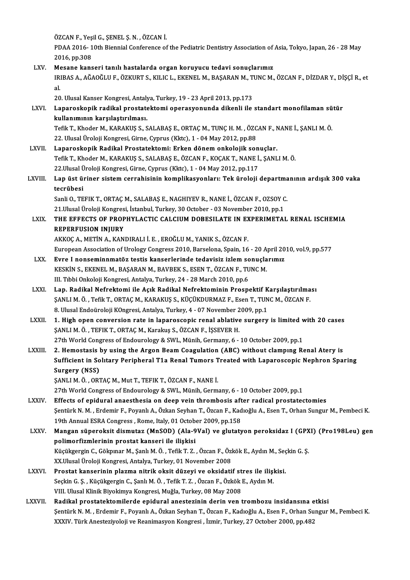ÖZCAN F., Yeşil G., ŞENEL Ş. N. , ÖZCAN İ.<br>PDAA 2016, 10th Biannial Conference of PDAA 2016-10th Biennial Conference of the Pediatric Dentistry Association of Asia, Tokyo, Japan, 26 - 28 May<br>2016, pp.308 ÖZCAN F., Yeş<br>PDAA 2016- 1<br>2016, pp.308<br>Masana kana LXV. Mesane kanseri tanılı hastalarda organ koruyucu tedavi sonuçlarımız 2016, pp.308<br>Mesane kanseri tanılı hastalarda organ koruyucu tedavi sonuçlarımız<br>IRIBAS A., AĞAOĞLU F., ÖZKURT S., KILIC L., EKENEL M., BAŞARAN M., TUNC M., ÖZCAN F., DİZDAR Y., DİŞÇİ R., et<br>al Me<br>IR<br>al.<br>20 IRIBAS A., AĞAOĞLU F., ÖZKURT S., KILIC L., EKENEL M., BAŞARAN M., T<br>al.<br>20. Ulusal Kanser Kongresi, Antalya, Turkey, 19 - 23 April 2013, pp.173<br>Lanaroskonik radikal prostatektemi onerasyonunda dikanli ile al.<br>20. Ulusal Kanser Kongresi, Antalya, Turkey, 19 - 23 April 2013, pp.173<br>LXVI. Laparoskopik radikal prostatektomi operasyonunda dikenli ile standart monofilaman sütür<br>kullanımının karsılastırılması. 20. Ulusal Kanser Kongresi, Antalya, Turkey, 19 - 23 April 2013, pp.173 Laparoskopik radikal prostatektomi operasyonunda dikenli ile standart monofilaman sü<br>kullanımının karşılaştırılması.<br>Tefik T., Khoder M., KARAKUŞ S., SALABAŞ E., ORTAÇ M., TUNÇ H. M. , ÖZCAN F., NANE İ., ŞANLI M. Ö.<br>22 Hlu <mark>kullanımının karşılaştırılması.</mark><br>Tefik T., Khoder M., KARAKUŞ S., SALABAŞ E., ORTAÇ M., TUNÇ H. M. , ÖZC<br>22. Ulusal Üroloji Kongresi, Girne, Cyprus (Kktc), 1 - 04 May 2012, pp.88<br>Lanaroskonik Badikal Brastatektemi: Erken 22. Ulusal Üroloji Kongresi, Girne, Cyprus (Kktc), 1 - 04 May 2012, pp.88<br>LXVII. Laparoskopik Radikal Prostatektomi: Erken dönem onkolojik sonuçlar. Tefik T., Khoder M., KARAKUŞ S., SALABAŞ E., ÖZCAN F., KOÇAK T., NANE İ., ŞANLI M. Ö. Laparoskopik Radikal Prostatektomi: Erken dönem onkolojik son<br>Tefik T., Khoder M., KARAKUŞ S., SALABAŞ E., ÖZCAN F., KOÇAK T., NANE İ.<br>22.Ulusal Üroloji Kongresi, Girne, Cyprus (Kktc), 1 - 04 May 2012, pp.117<br>Lan üst ürine Tefik T., Khoder M., KARAKUŞ S., SALABAŞ E., ÖZCAN F., KOÇAK T., NANE İ., ŞANLI M. Ö.<br>22.Ulusal Üroloji Kongresi, Girne, Cyprus (Kktc), 1 - 04 May 2012, pp.117<br>LXVIII. Lap üst üriner sistem cerrahisinin komplikasyonlar 22.Ulusal Ü<br>Lap üst ül<br>tecrübesi<br>Sanli O-TE Lap üst üriner sistem cerrahisinin komplikasyonları: Tek üroloji departma<br>tecrübesi<br>Sanli O., TEFIK T., ORTAÇ M., SALABAŞ E., NAGHIYEV R., NANE İ., ÖZCAN F., OZSOY C.<br>21 Hivesi Üroleji Kongresi İstanbul Turkey 20 Ostaber, tecrübesi<br>21.Ulusal Üroloji Kongresi, İstanbul, Turkey, 30 October - 03 November 2010, pp.1<br>21.Ulusal Üroloji Kongresi, İstanbul, Turkey, 30 October - 03 November 2010, pp.1 Sanli O., TEFIK T., ORTAÇ M., SALABAŞ E., NAGHIYEV R., NANE İ., ÖZCAN F., OZSOY C.<br>21.Ulusal Üroloji Kongresi, İstanbul, Turkey, 30 October - 03 November 2010, pp.1<br>LXIX. THE EFFECTS OF PROPHYLACTIC CALCIUM DOBESILATE REPERFUSION INJURY<br>AKKOÇ A., METİN A., KANDIRALI İ. E. , EROĞLU M., YANIK S., ÖZCAN F. THE EFFECTS OF PROPHYLACTIC CALCIUM DOBESILATE IN EX<br>REPERFUSION INJURY<br>AKKOÇ A., METİN A., KANDIRALI İ. E. , EROĞLU M., YANIK S., ÖZCAN F.<br>European Association of Urology Congress 2010 Barsolana Spain 16 European Association of Urology Congress 2010, Barselona, Spain, 16 - 20 April 2010, vol.9, pp.577 LXX. Evre I nonseminnmatöz testis kanserlerinde tedavisiz izlem sonuçlarımız KESKİN S., EKENEL M., BAŞARAN M., BAVBEK S., ESEN T., ÖZCAN F., TUNC M. III. Tıbbi Onkoloji Kongresi, Antalya, Turkey, 24 - 28 March 2010, pp.6 KESKİN S., EKENEL M., BAŞARAN M., BAVBEK S., ESEN T., ÖZCAN F., TUNC M.<br>III. Tıbbi Onkoloji Kongresi, Antalya, Turkey, 24 - 28 March 2010, pp.6<br>LXXI. Lap. Radikal Nefrektomi ile Açık Radikal Nefrektominin Prospektif Karşıl III. Tıbbi Onkoloji Kongresi, Antalya, Turkey, 24 - 28 March 2010, pp.6<br>Lap. Radikal Nefrektomi ile Açık Radikal Nefrektominin Prospektif Karşılaştırılma<br>ŞANLI M. Ö. , Tefik T., ORTAÇ M., KARAKUŞ S., KÜÇÜKDURMAZ F., Esen T Lap. Radikal Nefrektomi ile Açık Radikal Nefrektominin Prospektif K<br>ŞANLI M. Ö. , Tefik T., ORTAÇ M., KARAKUŞ S., KÜÇÜKDURMAZ F., Esen T., TUN<br>8. Ulusal Endoüroloji KOngresi, Antalya, Turkey, 4 - 07 November 2009, pp.1<br>1. SANLI M. Ö. , Tefik T., ORTAÇ M., KARAKUŞ S., KÜÇÜKDURMAZ F., Esen T., TUNC M., ÖZCAN F.<br>8. Ulusal Endoüroloji KOngresi, Antalya, Turkey, 4 - 07 November 2009, pp.1<br>LXXII. 1. High open conversion rate in laparoscopi 8. Ulusal Endoüroloji K0ngresi, Antalya, Turkey, 4 - 07 November 2<br>1. High open conversion rate in laparoscopic renal ablative<br>ŞANLI M. Ö. , TEFIK T., ORTAÇ M., Karakuş S., ÖZCAN F., İŞSEVER H.<br>27th World Congress of Endou 1. High open conversion rate in laparoscopic renal ablative surgery is limited v<br>ŞANLI M. Ö. , TEFIK T., ORTAÇ M., Karakuş S., ÖZCAN F., İŞSEVER H.<br>27th World Congress of Endourology & SWL, Münih, Germany, 6 - 10 October 2 SANLI M. Ö., TEFIK T., ORTAÇ M., Karakuş S., ÖZCAN F., İŞSEVER H.<br>27th World Congress of Endourology & SWL, Münih, Germany, 6 - 10 October 2009, pp.1<br>2. Hemostasis by using the Argon Beam Coagulation (ABC) without clamping 27th World Congress of Endourology & SWL, Münih, Germany, 6 - 10 October 2009, pp.1<br>2. Hemostasis by using the Argon Beam Coagulation (ABC) without clamping Renal Atery is<br>Sufficient in Solitary Peripheral T1a Renal Tumors 2. Hemostasis |<br>Sufficient in So<br>Sanu I M Ö - OP3<br>SANU I M Ö - OP3 Sufficient in Solıtary Peripheral T1a Renal Tumors T<br>Surgery (NSS)<br>ŞANLI M. Ö. , ORTAÇ M., Mut T., TEFIK T., ÖZCAN F., NANE İ.<br>27th World Congress of Endounelogy & SWI, Münih Corm Surgery (NSS)<br>\$ANLI M. Ö. , ORTAÇ M., Mut T., TEFIK T., ÖZCAN F., NANE İ.<br>27th World Congress of Endourology & SWL, Münih, Germany, 6 - 10 October 2009, pp.1 LXXIV. Effects of epidural anaesthesia on deep vein thrombosis after radical prostatectomies 27th World Congress of Endourology & SWL, Münih, Germany, 6 - 10 October 2009, pp.1<br>Effects of epidural anaesthesia on deep vein thrombosis after radical prostatectomies<br>Şentürk N. M. , Erdemir F., Poyanlı A., Özkan Seyhan Effects of epidural anaesthesia on deep vein thrombosis aft<br>Şentürk N. M. , Erdemir F., Poyanlı A., Özkan Seyhan T., Özcan F., Kad<br>19th Annual ESRA Congress , Rome, Italy, 01 October 2009, pp.158<br>Mangan sünereksit dismutas Şentürk N. M. , Erdemir F., Poyanlı A., Özkan Seyhan T., Özcan F., Kadıoğlu A., Esen T., Orhan Sungur M., Pembeci K.<br>19th Annual ESRA Congress , Rome, Italy, 01 October 2009, pp.158<br>LXXV. Mangan süperoksit dismutaz (Mn 19th Annual ESRA Congress , Rome, Italy, 01 October 2009, pp.158<br>Mangan süperoksit dismutaz (MnSOD) (Ala-9Val) ve glutatyon peroksidaz I (GPXI) (Pro198Leu) gen<br>polimorfizmlerinin prostat kanseri ile ilişkisi Mangan süperoksit dismutaz (MnSOD) (Ala-9Val) ve glutatyon peroksidaz I (GPX<br>polimorfizmlerinin prostat kanseri ile ilişkisi<br>Küçükgergin C., Gökpınar M., Şanlı M. Ö., Tefik T. Z. , Özcan F., Özkök E., Aydın M., Seçkin G. Ş polimorfizmlerinin prostat kanseri ile ilişkisi<br>Küçükgergin C., Gökpınar M., Şanlı M. Ö. , Tefik T. Z. , Özcan F., Özl<br>XX.Ulusal Üroloji Kongresi, Antalya, Turkey, 01 November 2008<br>Prostat kanserinin plarma nitrik eksit dü Küçükgergin C., Gökpınar M., Şanlı M. Ö. , Tefik T. Z. , Özcan F., Özkök E., Aydın M., Seç<br>XX.Ulusal Üroloji Kongresi, Antalya, Turkey, 01 November 2008<br>LXXVI. Prostat kanserinin plazma nitrik oksit düzeyi ve oksidatif str XX.Ulusal Üroloji Kongresi, Antalya, Turkey, 01 November 2008<br>Prostat kanserinin plazma nitrik oksit düzeyi ve oksidatif stres ile ilişl<br>Seçkin G. Ş. , Küçükgergin C., Şanlı M. Ö. , Tefik T. Z. , Özcan F., Özkök E., Aydın Prostat kanserinin plazma nitrik oksit düzeyi ve oksidatif st<br>Seçkin G. Ş. , Küçükgergin C., Şanlı M. Ö. , Tefik T. Z. , Özcan F., Özkök |<br>VIII. Ulusal Klinik Biyokimya Kongresi, Muğla, Turkey, 08 May 2008<br>Podikal prostate Seçkin G. Ş. , Küçükgergin C., Şanlı M. Ö. , Tefik T. Z. , Özcan F., Özkök E., Aydın M.<br>VIII. Ulusal Klinik Biyokimya Kongresi, Muğla, Turkey, 08 May 2008<br>LXXVII. Radikal prostatektomilerde epidural anestezinin derin v VIII. Ulusal Klinik Biyokimya Kongresi, Muğla, Turkey, 08 May 2008<br><mark>Radikal prostatektomilerde epidural anestezinin derin ven trombozu insidansına etkisi</mark><br>Şentürk N. M. , Erdemir F., Poyanlı A., Özkan Seyhan T., Özcan F., <mark>Radikal prostatektomilerde epidural anestezinin derin ven trombozu insidansına e</mark><br>Şentürk N. M. , Erdemir F., Poyanlı A., Özkan Seyhan T., Özcan F., Kadıoğlu A., Esen F., Orhan Su<br>XXXIV. Türk Anesteziyoloji ve Reanimasyon